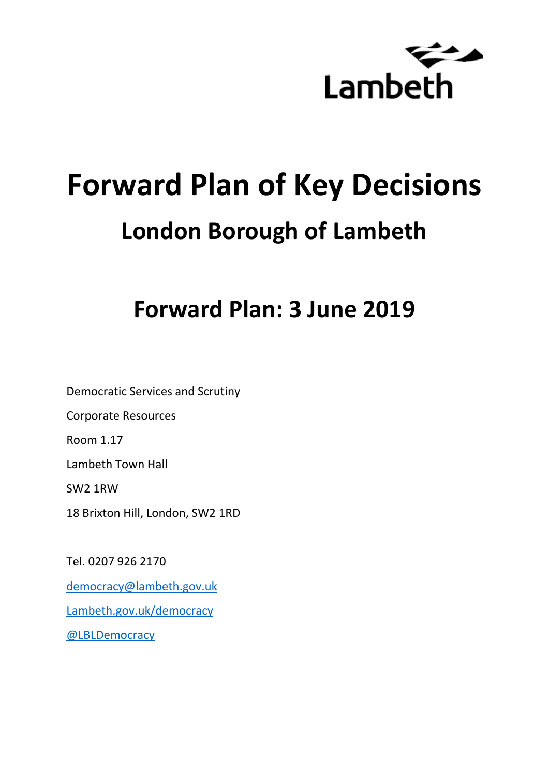

# **Forward Plan of Key Decisions London Borough of Lambeth**

## **Forward Plan: 3 June 2019**

Democratic Services and Scrutiny Corporate Resources Room 1.17 Lambeth Town Hall SW2 1RW 18 Brixton Hill, London, SW2 1RD

Tel. 0207 926 2170 [democracy@lambeth.gov.uk](mailto:democracy@lambeth.gov.uk) [Lambeth.gov.uk/democracy](https://www.lambeth.gov.uk/elections-and-council/meetings-minutes-and-agendas/getting-involved-in-decision-making-guide) [@LBLDemocracy](https://twitter.com/LBLDemocracy?lang=en)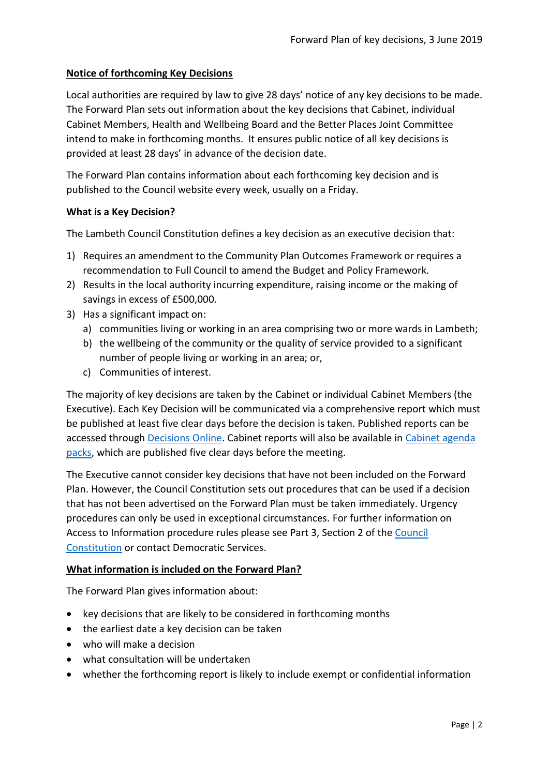#### **Notice of forthcoming Key Decisions**

Local authorities are required by law to give 28 days' notice of any key decisions to be made. The Forward Plan sets out information about the key decisions that Cabinet, individual Cabinet Members, Health and Wellbeing Board and the Better Places Joint Committee intend to make in forthcoming months. It ensures public notice of all key decisions is provided at least 28 days' in advance of the decision date.

The Forward Plan contains information about each forthcoming key decision and is published to the Council website every week, usually on a Friday.

#### **What is a Key Decision?**

The Lambeth Council Constitution defines a key decision as an executive decision that:

- 1) Requires an amendment to the Community Plan Outcomes Framework or requires a recommendation to Full Council to amend the Budget and Policy Framework.
- 2) Results in the local authority incurring expenditure, raising income or the making of savings in excess of £500,000.
- 3) Has a significant impact on:
	- a) communities living or working in an area comprising two or more wards in Lambeth;
	- b) the wellbeing of the community or the quality of service provided to a significant number of people living or working in an area; or,
	- c) Communities of interest.

The majority of key decisions are taken by the Cabinet or individual Cabinet Members (the Executive). Each Key Decision will be communicated via a comprehensive report which must be published at least five clear days before the decision is taken. Published reports can be accessed through [Decisions Online.](http://moderngov.lambeth.gov.uk/mgDelegatedDecisions.aspx?bcr=1&DM=0&DS=2&K=0&DR=&V=0) Cabinet reports will also be available in [Cabinet agenda](https://moderngov.lambeth.gov.uk/ieListMeetings.aspx?CommitteeId=225)  [packs,](https://moderngov.lambeth.gov.uk/ieListMeetings.aspx?CommitteeId=225) which are published five clear days before the meeting.

The Executive cannot consider key decisions that have not been included on the Forward Plan. However, the Council Constitution sets out procedures that can be used if a decision that has not been advertised on the Forward Plan must be taken immediately. Urgency procedures can only be used in exceptional circumstances. For further information on Access to Information procedure rules please see Part 3, Section 2 of the [Council](http://moderngov.lambeth.gov.uk/ieListMeetings.aspx?CId=738&info=1&MD=Constitution)  [Constitution](http://moderngov.lambeth.gov.uk/ieListMeetings.aspx?CId=738&info=1&MD=Constitution) or contact Democratic Services.

#### **What information is included on the Forward Plan?**

The Forward Plan gives information about:

- key decisions that are likely to be considered in forthcoming months
- the earliest date a key decision can be taken
- who will make a decision
- what consultation will be undertaken
- whether the forthcoming report is likely to include exempt or confidential information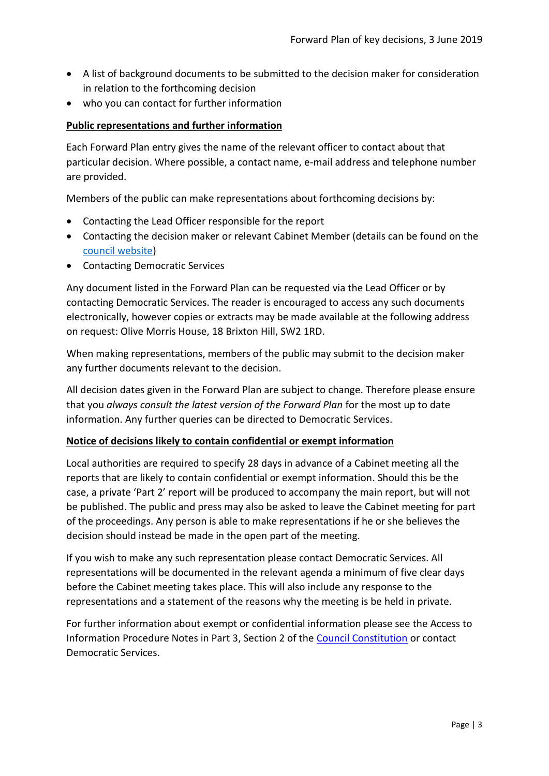- A list of background documents to be submitted to the decision maker for consideration in relation to the forthcoming decision
- who you can contact for further information

#### **Public representations and further information**

Each Forward Plan entry gives the name of the relevant officer to contact about that particular decision. Where possible, a contact name, e-mail address and telephone number are provided.

Members of the public can make representations about forthcoming decisions by:

- Contacting the Lead Officer responsible for the report
- Contacting the decision maker or relevant Cabinet Member (details can be found on the [council website\)](http://moderngov.lambeth.gov.uk/mgMemberIndex.aspx?bcr=1)
- Contacting Democratic Services

Any document listed in the Forward Plan can be requested via the Lead Officer or by contacting Democratic Services. The reader is encouraged to access any such documents electronically, however copies or extracts may be made available at the following address on request: Olive Morris House, 18 Brixton Hill, SW2 1RD.

When making representations, members of the public may submit to the decision maker any further documents relevant to the decision.

All decision dates given in the Forward Plan are subject to change. Therefore please ensure that you *always consult the latest version of the Forward Plan* for the most up to date information. Any further queries can be directed to Democratic Services.

#### **Notice of decisions likely to contain confidential or exempt information**

Local authorities are required to specify 28 days in advance of a Cabinet meeting all the reports that are likely to contain confidential or exempt information. Should this be the case, a private 'Part 2' report will be produced to accompany the main report, but will not be published. The public and press may also be asked to leave the Cabinet meeting for part of the proceedings. Any person is able to make representations if he or she believes the decision should instead be made in the open part of the meeting.

If you wish to make any such representation please contact Democratic Services. All representations will be documented in the relevant agenda a minimum of five clear days before the Cabinet meeting takes place. This will also include any response to the representations and a statement of the reasons why the meeting is be held in private.

For further information about exempt or confidential information please see the Access to Information Procedure Notes in Part 3, Section 2 of the [Council Constitution](http://www.lambeth.gov.uk/sites/default/files/ec-Council-Constitution-2014-15-approved-with-changes-November-2014.pdf) or contact Democratic Services.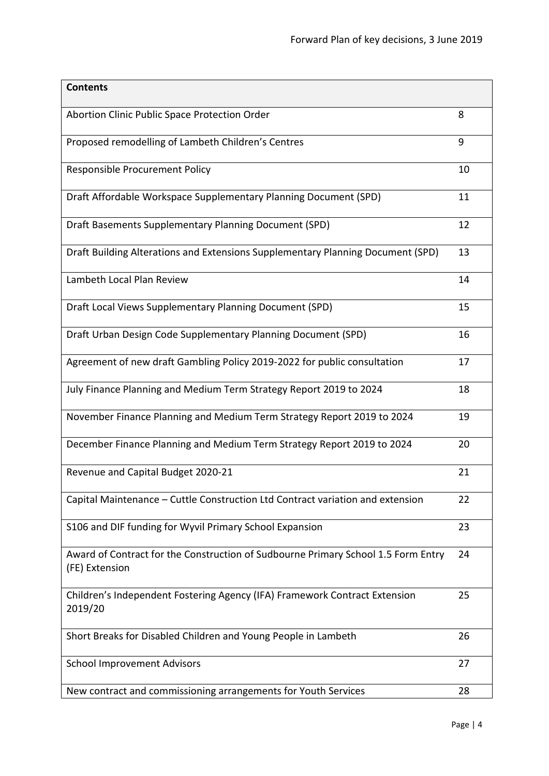| <b>Contents</b>                                                                                     |    |
|-----------------------------------------------------------------------------------------------------|----|
| Abortion Clinic Public Space Protection Order                                                       | 8  |
| Proposed remodelling of Lambeth Children's Centres                                                  | 9  |
| Responsible Procurement Policy                                                                      | 10 |
| Draft Affordable Workspace Supplementary Planning Document (SPD)                                    | 11 |
| Draft Basements Supplementary Planning Document (SPD)                                               | 12 |
| Draft Building Alterations and Extensions Supplementary Planning Document (SPD)                     | 13 |
| Lambeth Local Plan Review                                                                           | 14 |
| Draft Local Views Supplementary Planning Document (SPD)                                             | 15 |
| Draft Urban Design Code Supplementary Planning Document (SPD)                                       | 16 |
| Agreement of new draft Gambling Policy 2019-2022 for public consultation                            | 17 |
| July Finance Planning and Medium Term Strategy Report 2019 to 2024                                  | 18 |
| November Finance Planning and Medium Term Strategy Report 2019 to 2024                              | 19 |
| December Finance Planning and Medium Term Strategy Report 2019 to 2024                              | 20 |
| Revenue and Capital Budget 2020-21                                                                  | 21 |
| Capital Maintenance - Cuttle Construction Ltd Contract variation and extension                      | 22 |
| S106 and DIF funding for Wyvil Primary School Expansion                                             | 23 |
| Award of Contract for the Construction of Sudbourne Primary School 1.5 Form Entry<br>(FE) Extension | 24 |
| Children's Independent Fostering Agency (IFA) Framework Contract Extension<br>2019/20               | 25 |
| Short Breaks for Disabled Children and Young People in Lambeth                                      | 26 |
| <b>School Improvement Advisors</b>                                                                  | 27 |
| New contract and commissioning arrangements for Youth Services                                      | 28 |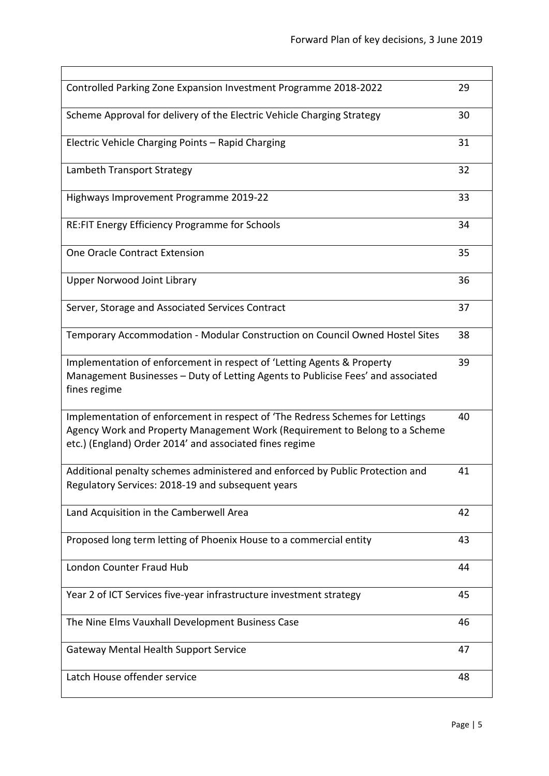| Controlled Parking Zone Expansion Investment Programme 2018-2022                                                                                                                                                        | 29 |
|-------------------------------------------------------------------------------------------------------------------------------------------------------------------------------------------------------------------------|----|
| Scheme Approval for delivery of the Electric Vehicle Charging Strategy                                                                                                                                                  | 30 |
| Electric Vehicle Charging Points - Rapid Charging                                                                                                                                                                       | 31 |
| Lambeth Transport Strategy                                                                                                                                                                                              | 32 |
| Highways Improvement Programme 2019-22                                                                                                                                                                                  | 33 |
| RE:FIT Energy Efficiency Programme for Schools                                                                                                                                                                          | 34 |
| One Oracle Contract Extension                                                                                                                                                                                           | 35 |
| <b>Upper Norwood Joint Library</b>                                                                                                                                                                                      | 36 |
| Server, Storage and Associated Services Contract                                                                                                                                                                        | 37 |
| Temporary Accommodation - Modular Construction on Council Owned Hostel Sites                                                                                                                                            | 38 |
| Implementation of enforcement in respect of 'Letting Agents & Property<br>Management Businesses - Duty of Letting Agents to Publicise Fees' and associated<br>fines regime                                              | 39 |
| Implementation of enforcement in respect of 'The Redress Schemes for Lettings<br>Agency Work and Property Management Work (Requirement to Belong to a Scheme<br>etc.) (England) Order 2014' and associated fines regime | 40 |
| Additional penalty schemes administered and enforced by Public Protection and<br>Regulatory Services: 2018-19 and subsequent years                                                                                      | 41 |
| Land Acquisition in the Camberwell Area                                                                                                                                                                                 | 42 |
| Proposed long term letting of Phoenix House to a commercial entity                                                                                                                                                      | 43 |
| <b>London Counter Fraud Hub</b>                                                                                                                                                                                         | 44 |
| Year 2 of ICT Services five-year infrastructure investment strategy                                                                                                                                                     | 45 |
| The Nine Elms Vauxhall Development Business Case                                                                                                                                                                        | 46 |
| Gateway Mental Health Support Service                                                                                                                                                                                   | 47 |
| Latch House offender service                                                                                                                                                                                            | 48 |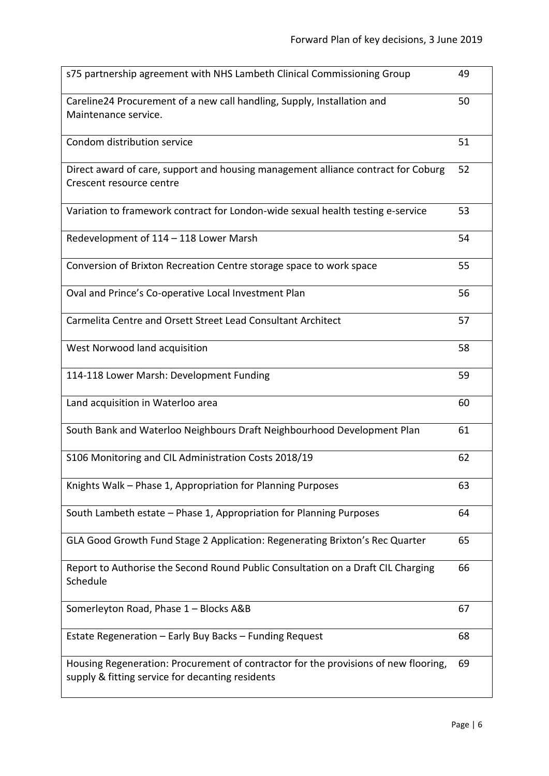| s75 partnership agreement with NHS Lambeth Clinical Commissioning Group                                                                 | 49 |
|-----------------------------------------------------------------------------------------------------------------------------------------|----|
| Careline24 Procurement of a new call handling, Supply, Installation and<br>Maintenance service.                                         | 50 |
| Condom distribution service                                                                                                             | 51 |
| Direct award of care, support and housing management alliance contract for Coburg<br>Crescent resource centre                           | 52 |
| Variation to framework contract for London-wide sexual health testing e-service                                                         | 53 |
| Redevelopment of 114 - 118 Lower Marsh                                                                                                  | 54 |
| Conversion of Brixton Recreation Centre storage space to work space                                                                     | 55 |
| Oval and Prince's Co-operative Local Investment Plan                                                                                    | 56 |
| Carmelita Centre and Orsett Street Lead Consultant Architect                                                                            | 57 |
| West Norwood land acquisition                                                                                                           | 58 |
| 114-118 Lower Marsh: Development Funding                                                                                                | 59 |
| Land acquisition in Waterloo area                                                                                                       | 60 |
| South Bank and Waterloo Neighbours Draft Neighbourhood Development Plan                                                                 | 61 |
| S106 Monitoring and CIL Administration Costs 2018/19                                                                                    | 62 |
| Knights Walk - Phase 1, Appropriation for Planning Purposes                                                                             | 63 |
| South Lambeth estate - Phase 1, Appropriation for Planning Purposes                                                                     | 64 |
| GLA Good Growth Fund Stage 2 Application: Regenerating Brixton's Rec Quarter                                                            | 65 |
| Report to Authorise the Second Round Public Consultation on a Draft CIL Charging<br>Schedule                                            | 66 |
| Somerleyton Road, Phase 1 - Blocks A&B                                                                                                  | 67 |
| Estate Regeneration - Early Buy Backs - Funding Request                                                                                 | 68 |
| Housing Regeneration: Procurement of contractor for the provisions of new flooring,<br>supply & fitting service for decanting residents | 69 |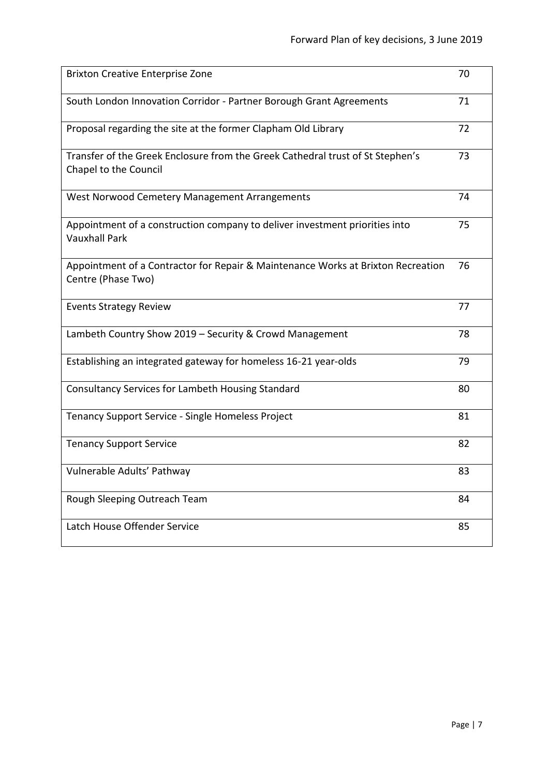| <b>Brixton Creative Enterprise Zone</b>                                                                 | 70 |
|---------------------------------------------------------------------------------------------------------|----|
| South London Innovation Corridor - Partner Borough Grant Agreements                                     | 71 |
| Proposal regarding the site at the former Clapham Old Library                                           | 72 |
| Transfer of the Greek Enclosure from the Greek Cathedral trust of St Stephen's<br>Chapel to the Council | 73 |
| West Norwood Cemetery Management Arrangements                                                           | 74 |
| Appointment of a construction company to deliver investment priorities into<br><b>Vauxhall Park</b>     | 75 |
| Appointment of a Contractor for Repair & Maintenance Works at Brixton Recreation<br>Centre (Phase Two)  | 76 |
| <b>Events Strategy Review</b>                                                                           | 77 |
| Lambeth Country Show 2019 - Security & Crowd Management                                                 | 78 |
| Establishing an integrated gateway for homeless 16-21 year-olds                                         | 79 |
| Consultancy Services for Lambeth Housing Standard                                                       | 80 |
| Tenancy Support Service - Single Homeless Project                                                       | 81 |
| <b>Tenancy Support Service</b>                                                                          | 82 |
| Vulnerable Adults' Pathway                                                                              | 83 |
| Rough Sleeping Outreach Team                                                                            | 84 |
| Latch House Offender Service                                                                            | 85 |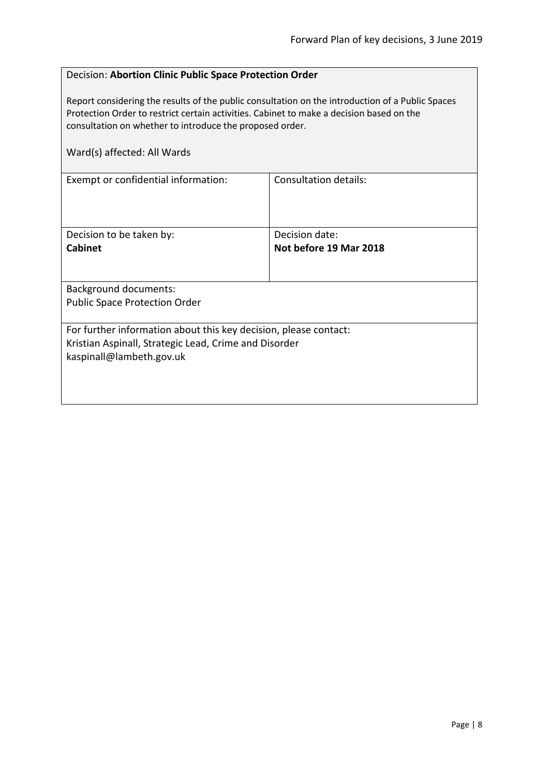#### <span id="page-7-0"></span>Decision: **Abortion Clinic Public Space Protection Order**

Report considering the results of the public consultation on the introduction of a Public Spaces Protection Order to restrict certain activities. Cabinet to make a decision based on the consultation on whether to introduce the proposed order.

| Ward(s) affected: All Wards                                      |                        |
|------------------------------------------------------------------|------------------------|
| Exempt or confidential information:                              | Consultation details:  |
| Decision to be taken by:                                         | Decision date:         |
| <b>Cabinet</b>                                                   | Not before 19 Mar 2018 |
|                                                                  |                        |
| <b>Background documents:</b>                                     |                        |
| <b>Public Space Protection Order</b>                             |                        |
| For further information about this key decision, please contact: |                        |
| Kristian Aspinall, Strategic Lead, Crime and Disorder            |                        |
| kaspinall@lambeth.gov.uk                                         |                        |
|                                                                  |                        |
|                                                                  |                        |
|                                                                  |                        |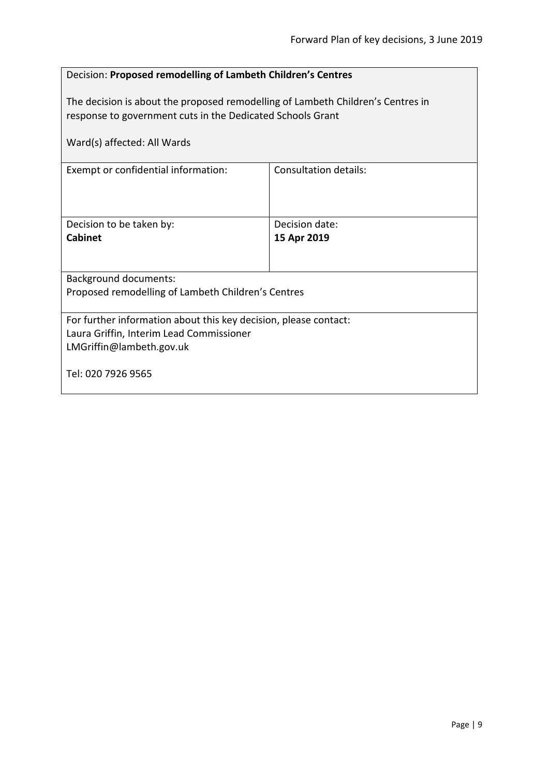<span id="page-8-0"></span>

| Decision: Proposed remodelling of Lambeth Children's Centres                                                                                  |                               |  |
|-----------------------------------------------------------------------------------------------------------------------------------------------|-------------------------------|--|
| The decision is about the proposed remodelling of Lambeth Children's Centres in<br>response to government cuts in the Dedicated Schools Grant |                               |  |
| Ward(s) affected: All Wards                                                                                                                   |                               |  |
| Exempt or confidential information:                                                                                                           | <b>Consultation details:</b>  |  |
| Decision to be taken by:<br><b>Cabinet</b>                                                                                                    | Decision date:<br>15 Apr 2019 |  |
| <b>Background documents:</b><br>Proposed remodelling of Lambeth Children's Centres                                                            |                               |  |
| For further information about this key decision, please contact:<br>Laura Griffin, Interim Lead Commissioner<br>LMGriffin@lambeth.gov.uk      |                               |  |
| Tel: 020 7926 9565                                                                                                                            |                               |  |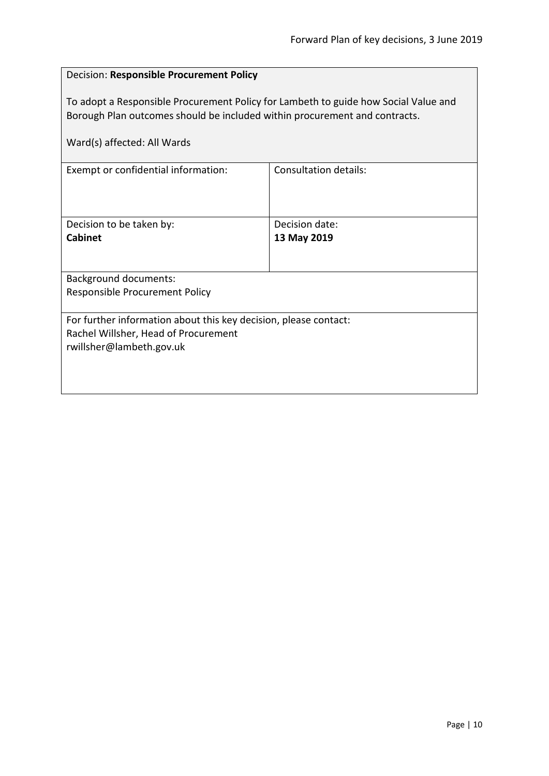#### <span id="page-9-0"></span>Decision: **Responsible Procurement Policy**

To adopt a Responsible Procurement Policy for Lambeth to guide how Social Value and Borough Plan outcomes should be included within procurement and contracts.

| Ward(s) affected: All Wards                                                                                                          |                               |
|--------------------------------------------------------------------------------------------------------------------------------------|-------------------------------|
| Exempt or confidential information:                                                                                                  | <b>Consultation details:</b>  |
| Decision to be taken by:<br>Cabinet                                                                                                  | Decision date:<br>13 May 2019 |
| <b>Background documents:</b><br>Responsible Procurement Policy                                                                       |                               |
| For further information about this key decision, please contact:<br>Rachel Willsher, Head of Procurement<br>rwillsher@lambeth.gov.uk |                               |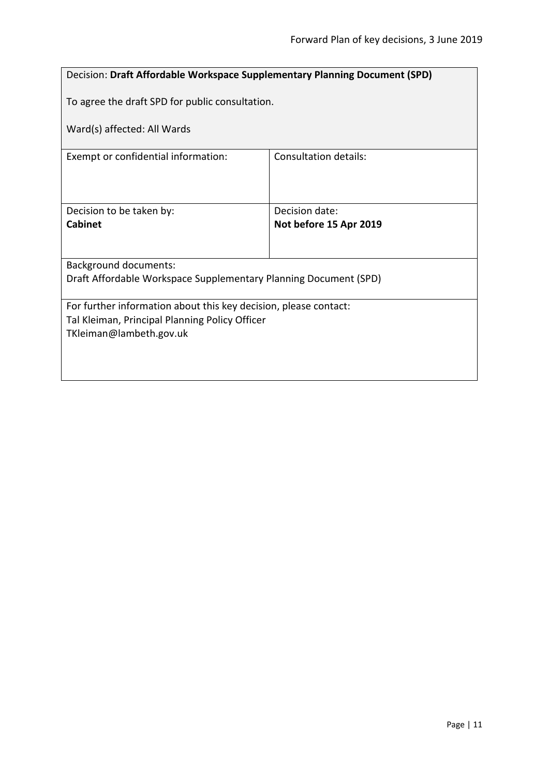<span id="page-10-0"></span>

| <b>Decision: Draft Affordable Workspace Supplementary Planning Document (SPD)</b> |                              |  |
|-----------------------------------------------------------------------------------|------------------------------|--|
| To agree the draft SPD for public consultation.                                   |                              |  |
| Ward(s) affected: All Wards                                                       |                              |  |
| Exempt or confidential information:                                               | <b>Consultation details:</b> |  |
|                                                                                   |                              |  |
| Decision to be taken by:                                                          | Decision date:               |  |
| Cabinet                                                                           | Not before 15 Apr 2019       |  |
|                                                                                   |                              |  |
| <b>Background documents:</b>                                                      |                              |  |
| Draft Affordable Workspace Supplementary Planning Document (SPD)                  |                              |  |
| For further information about this key decision, please contact:                  |                              |  |
| Tal Kleiman, Principal Planning Policy Officer                                    |                              |  |
| TKleiman@lambeth.gov.uk                                                           |                              |  |
|                                                                                   |                              |  |
|                                                                                   |                              |  |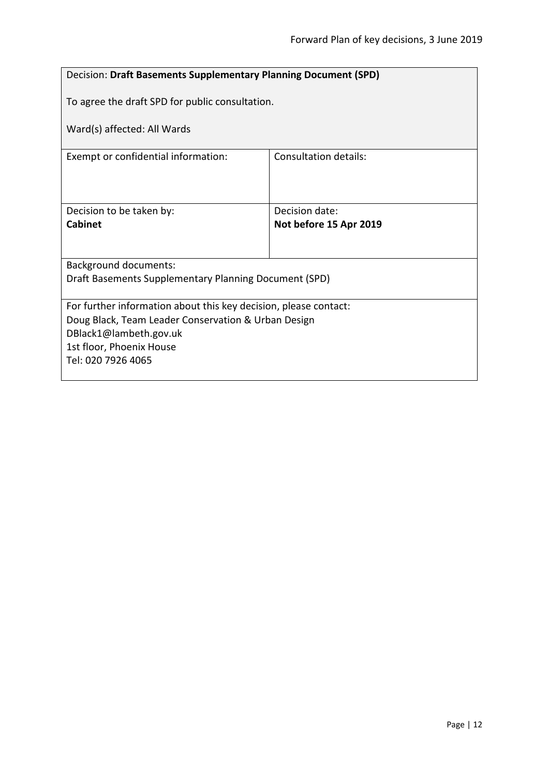<span id="page-11-0"></span>

| Decision: Draft Basements Supplementary Planning Document (SPD)  |                        |  |
|------------------------------------------------------------------|------------------------|--|
| To agree the draft SPD for public consultation.                  |                        |  |
| Ward(s) affected: All Wards                                      |                        |  |
| Consultation details:<br>Exempt or confidential information:     |                        |  |
|                                                                  |                        |  |
| Decision to be taken by:                                         | Decision date:         |  |
| <b>Cabinet</b>                                                   | Not before 15 Apr 2019 |  |
|                                                                  |                        |  |
| Background documents:                                            |                        |  |
| Draft Basements Supplementary Planning Document (SPD)            |                        |  |
| For further information about this key decision, please contact: |                        |  |
| Doug Black, Team Leader Conservation & Urban Design              |                        |  |
| DBlack1@lambeth.gov.uk                                           |                        |  |
| 1st floor, Phoenix House<br>Tel: 020 7926 4065                   |                        |  |
|                                                                  |                        |  |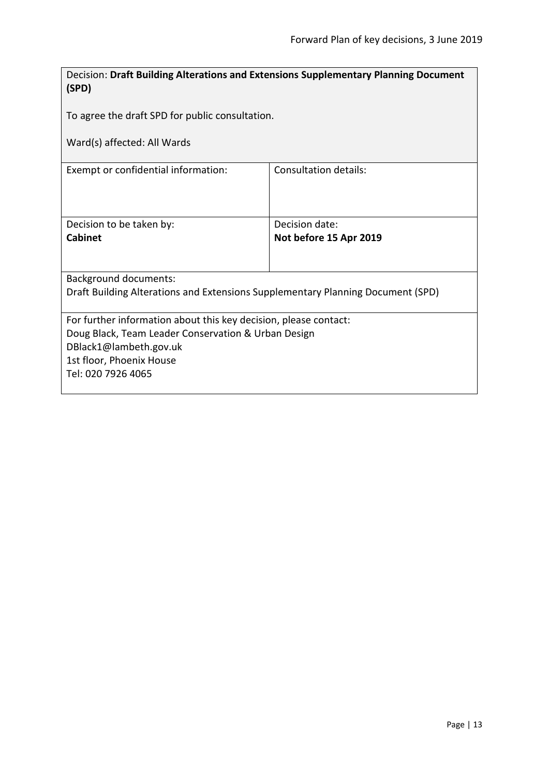<span id="page-12-0"></span>

| Decision: Draft Building Alterations and Extensions Supplementary Planning Document<br>(SPD)                                                                                                        |                                          |  |
|-----------------------------------------------------------------------------------------------------------------------------------------------------------------------------------------------------|------------------------------------------|--|
| To agree the draft SPD for public consultation.                                                                                                                                                     |                                          |  |
| Ward(s) affected: All Wards                                                                                                                                                                         |                                          |  |
| Consultation details:<br>Exempt or confidential information:                                                                                                                                        |                                          |  |
| Decision to be taken by:<br><b>Cabinet</b>                                                                                                                                                          | Decision date:<br>Not before 15 Apr 2019 |  |
| <b>Background documents:</b><br>Draft Building Alterations and Extensions Supplementary Planning Document (SPD)                                                                                     |                                          |  |
| For further information about this key decision, please contact:<br>Doug Black, Team Leader Conservation & Urban Design<br>DBlack1@lambeth.gov.uk<br>1st floor, Phoenix House<br>Tel: 020 7926 4065 |                                          |  |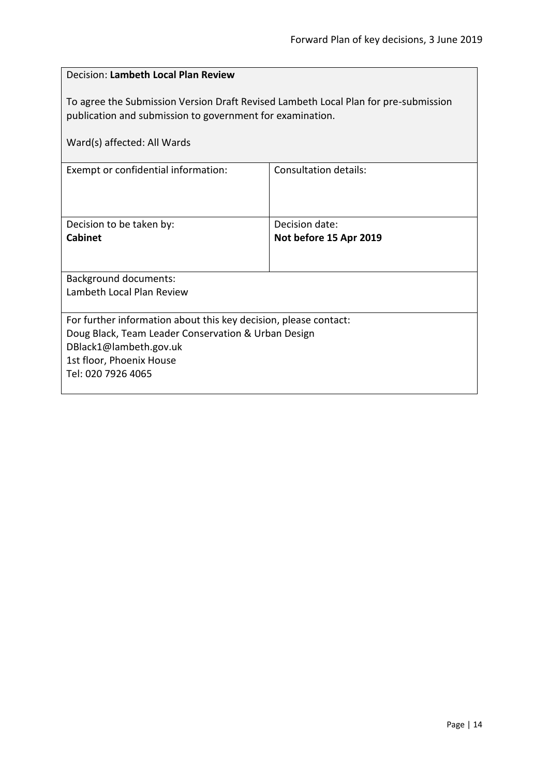<span id="page-13-0"></span>

| Decision: Lambeth Local Plan Review                                                                                                                                                                 |                                          |  |
|-----------------------------------------------------------------------------------------------------------------------------------------------------------------------------------------------------|------------------------------------------|--|
| To agree the Submission Version Draft Revised Lambeth Local Plan for pre-submission<br>publication and submission to government for examination.<br>Ward(s) affected: All Wards                     |                                          |  |
| Consultation details:<br>Exempt or confidential information:                                                                                                                                        |                                          |  |
| Decision to be taken by:<br><b>Cabinet</b>                                                                                                                                                          | Decision date:<br>Not before 15 Apr 2019 |  |
| <b>Background documents:</b><br>Lambeth Local Plan Review                                                                                                                                           |                                          |  |
| For further information about this key decision, please contact:<br>Doug Black, Team Leader Conservation & Urban Design<br>DBlack1@lambeth.gov.uk<br>1st floor, Phoenix House<br>Tel: 020 7926 4065 |                                          |  |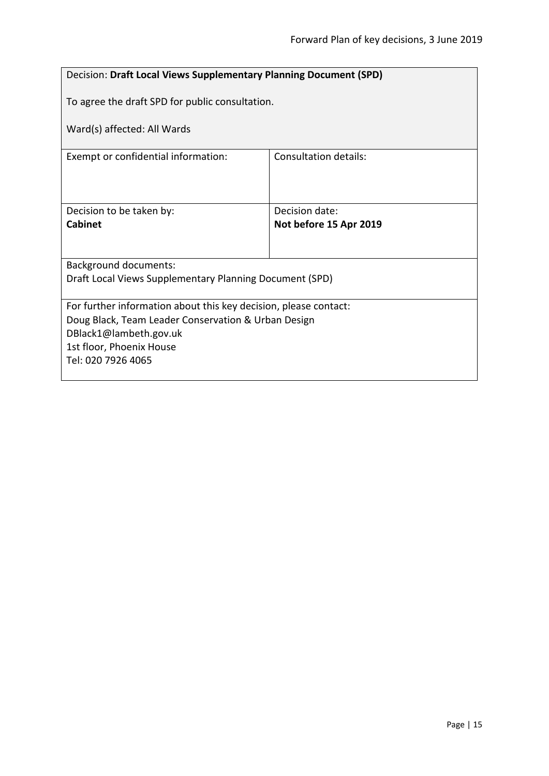<span id="page-14-0"></span>

| Decision: Draft Local Views Supplementary Planning Document (SPD)   |                        |  |
|---------------------------------------------------------------------|------------------------|--|
| To agree the draft SPD for public consultation.                     |                        |  |
| Ward(s) affected: All Wards                                         |                        |  |
| <b>Consultation details:</b><br>Exempt or confidential information: |                        |  |
|                                                                     |                        |  |
| Decision to be taken by:                                            | Decision date:         |  |
| <b>Cabinet</b>                                                      | Not before 15 Apr 2019 |  |
|                                                                     |                        |  |
| <b>Background documents:</b>                                        |                        |  |
| Draft Local Views Supplementary Planning Document (SPD)             |                        |  |
| For further information about this key decision, please contact:    |                        |  |
| Doug Black, Team Leader Conservation & Urban Design                 |                        |  |
| DBlack1@lambeth.gov.uk                                              |                        |  |
| 1st floor, Phoenix House<br>Tel: 020 7926 4065                      |                        |  |
|                                                                     |                        |  |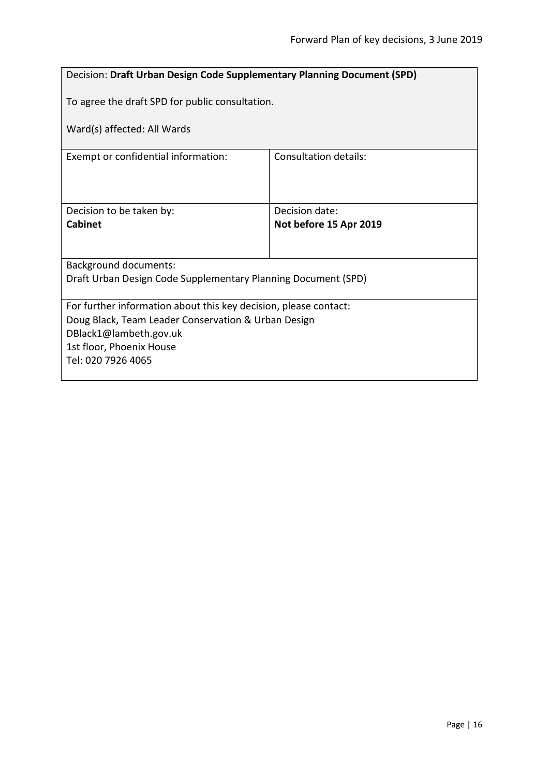<span id="page-15-0"></span>

| <b>Decision: Draft Urban Design Code Supplementary Planning Document (SPD)</b> |                        |  |
|--------------------------------------------------------------------------------|------------------------|--|
| To agree the draft SPD for public consultation.                                |                        |  |
| Ward(s) affected: All Wards                                                    |                        |  |
| Exempt or confidential information:                                            | Consultation details:  |  |
|                                                                                |                        |  |
| Decision to be taken by:<br>Cabinet                                            | Decision date:         |  |
|                                                                                | Not before 15 Apr 2019 |  |
| <b>Background documents:</b>                                                   |                        |  |
| Draft Urban Design Code Supplementary Planning Document (SPD)                  |                        |  |
| For further information about this key decision, please contact:               |                        |  |
| Doug Black, Team Leader Conservation & Urban Design<br>DBlack1@lambeth.gov.uk  |                        |  |
| 1st floor, Phoenix House                                                       |                        |  |
| Tel: 020 7926 4065                                                             |                        |  |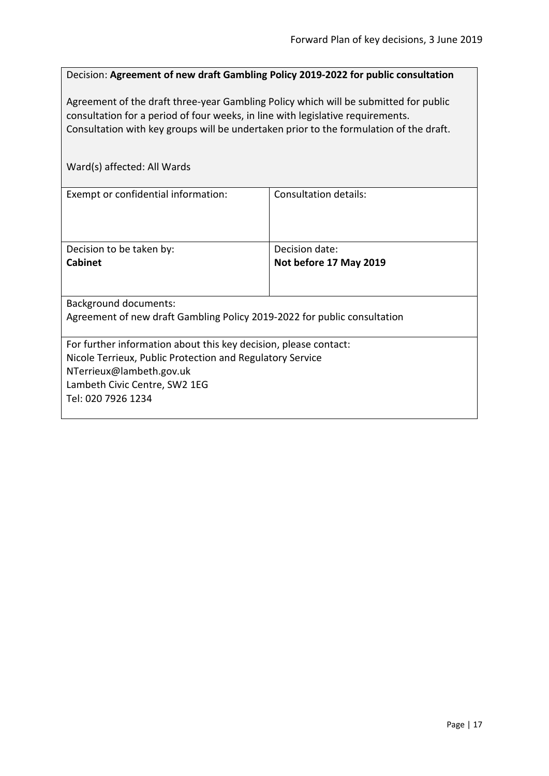<span id="page-16-0"></span>

| Decision: Agreement of new draft Gambling Policy 2019-2022 for public consultation     |                              |
|----------------------------------------------------------------------------------------|------------------------------|
| Agreement of the draft three-year Gambling Policy which will be submitted for public   |                              |
| consultation for a period of four weeks, in line with legislative requirements.        |                              |
| Consultation with key groups will be undertaken prior to the formulation of the draft. |                              |
|                                                                                        |                              |
| Ward(s) affected: All Wards                                                            |                              |
| Exempt or confidential information:                                                    | <b>Consultation details:</b> |
|                                                                                        |                              |
|                                                                                        |                              |
| Decision to be taken by:                                                               | Decision date:               |
| <b>Cabinet</b>                                                                         | Not before 17 May 2019       |
|                                                                                        |                              |
| <b>Background documents:</b>                                                           |                              |
| Agreement of new draft Gambling Policy 2019-2022 for public consultation               |                              |
| For further information about this key decision, please contact:                       |                              |
| Nicole Terrieux, Public Protection and Regulatory Service                              |                              |
| NTerrieux@lambeth.gov.uk<br>Lambeth Civic Centre, SW2 1EG                              |                              |
| Tel: 020 7926 1234                                                                     |                              |
|                                                                                        |                              |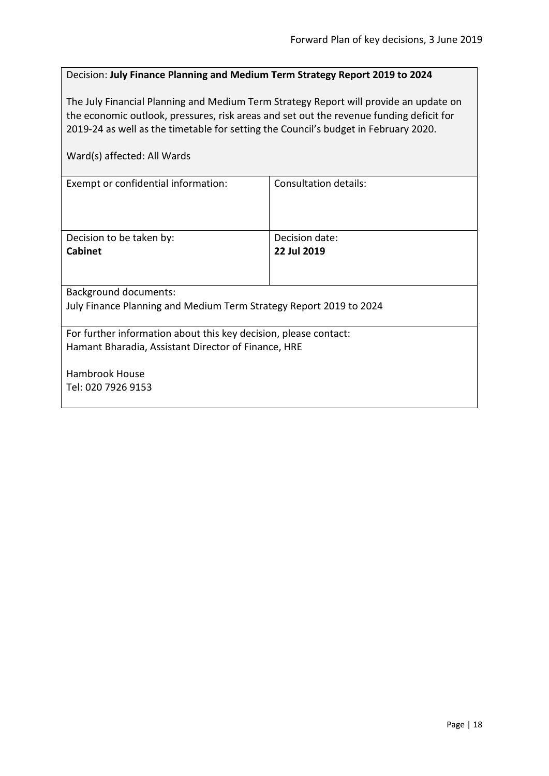#### <span id="page-17-0"></span>Decision: **July Finance Planning and Medium Term Strategy Report 2019 to 2024**

The July Financial Planning and Medium Term Strategy Report will provide an update on the economic outlook, pressures, risk areas and set out the revenue funding deficit for 2019-24 as well as the timetable for setting the Council's budget in February 2020.

| Exempt or confidential information:                                | Consultation details: |
|--------------------------------------------------------------------|-----------------------|
|                                                                    |                       |
|                                                                    |                       |
|                                                                    |                       |
| Decision to be taken by:                                           | Decision date:        |
| <b>Cabinet</b>                                                     | 22 Jul 2019           |
|                                                                    |                       |
|                                                                    |                       |
| <b>Background documents:</b>                                       |                       |
| July Finance Planning and Medium Term Strategy Report 2019 to 2024 |                       |
|                                                                    |                       |
| For further information about this key decision, please contact:   |                       |
| Hamant Bharadia, Assistant Director of Finance, HRE                |                       |
|                                                                    |                       |
| Hambrook House                                                     |                       |
| Tel: 020 7926 9153                                                 |                       |
|                                                                    |                       |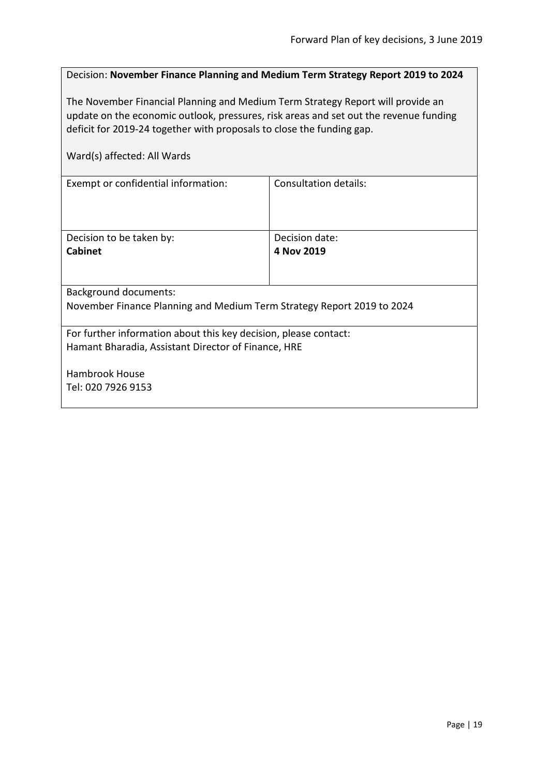<span id="page-18-0"></span>

| Decision: November Finance Planning and Medium Term Strategy Report 2019 to 2024 |
|----------------------------------------------------------------------------------|
|----------------------------------------------------------------------------------|

The November Financial Planning and Medium Term Strategy Report will provide an update on the economic outlook, pressures, risk areas and set out the revenue funding deficit for 2019-24 together with proposals to close the funding gap.

| Ward(s) affected: All Wards                                            |                       |
|------------------------------------------------------------------------|-----------------------|
| Exempt or confidential information:                                    | Consultation details: |
|                                                                        |                       |
| Decision to be taken by:                                               | Decision date:        |
| <b>Cabinet</b>                                                         | 4 Nov 2019            |
|                                                                        |                       |
| <b>Background documents:</b>                                           |                       |
| November Finance Planning and Medium Term Strategy Report 2019 to 2024 |                       |
| For further information about this key decision, please contact:       |                       |
| Hamant Bharadia, Assistant Director of Finance, HRE                    |                       |
| <b>Hambrook House</b>                                                  |                       |
| Tel: 020 7926 9153                                                     |                       |
|                                                                        |                       |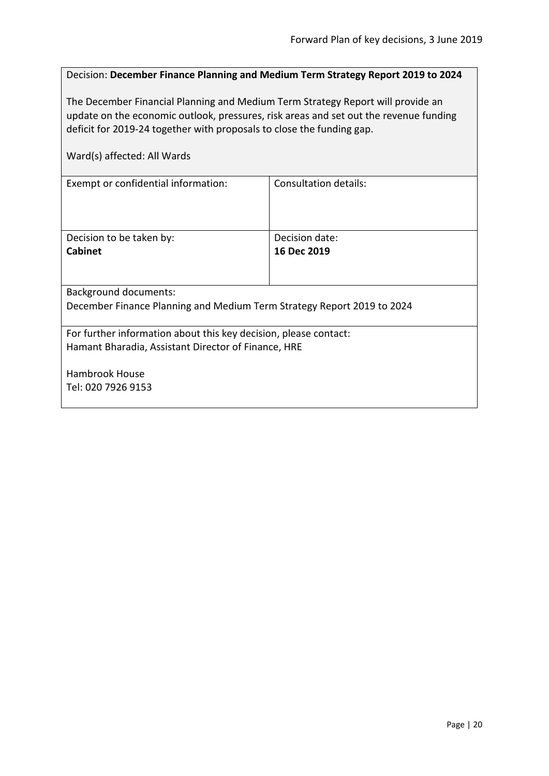<span id="page-19-0"></span>

| Decision: December Finance Planning and Medium Term Strategy Report 2019 to 2024                                                                                                                                                                  |                               |  |
|---------------------------------------------------------------------------------------------------------------------------------------------------------------------------------------------------------------------------------------------------|-------------------------------|--|
| The December Financial Planning and Medium Term Strategy Report will provide an<br>update on the economic outlook, pressures, risk areas and set out the revenue funding<br>deficit for 2019-24 together with proposals to close the funding gap. |                               |  |
| Ward(s) affected: All Wards                                                                                                                                                                                                                       |                               |  |
| Exempt or confidential information:                                                                                                                                                                                                               | <b>Consultation details:</b>  |  |
| Decision to be taken by:<br>Cabinet                                                                                                                                                                                                               | Decision date:<br>16 Dec 2019 |  |
| <b>Background documents:</b>                                                                                                                                                                                                                      |                               |  |
| December Finance Planning and Medium Term Strategy Report 2019 to 2024                                                                                                                                                                            |                               |  |
| For further information about this key decision, please contact:<br>Hamant Bharadia, Assistant Director of Finance, HRE                                                                                                                           |                               |  |
| <b>Hambrook House</b>                                                                                                                                                                                                                             |                               |  |
| Tel: 020 7926 9153                                                                                                                                                                                                                                |                               |  |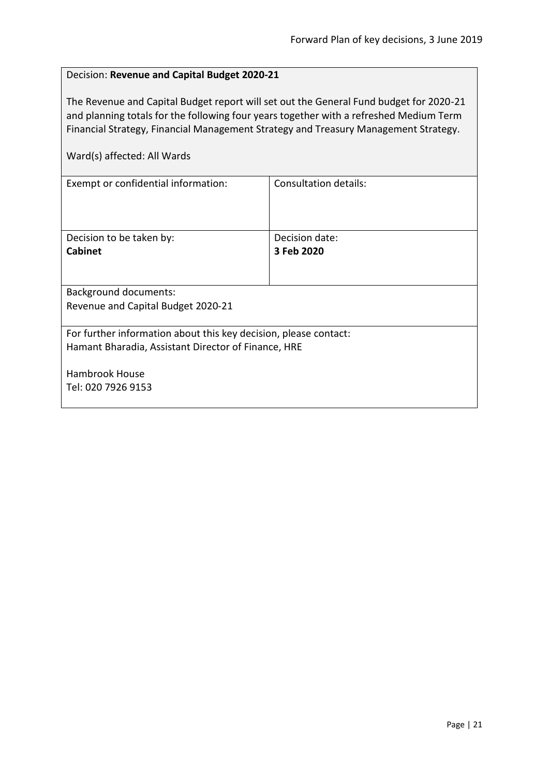#### <span id="page-20-0"></span>Decision: **Revenue and Capital Budget 2020-21**

The Revenue and Capital Budget report will set out the General Fund budget for 2020-21 and planning totals for the following four years together with a refreshed Medium Term Financial Strategy, Financial Management Strategy and Treasury Management Strategy.

| Exempt or confidential information:                                                                                     | Consultation details: |
|-------------------------------------------------------------------------------------------------------------------------|-----------------------|
|                                                                                                                         |                       |
| Decision to be taken by:                                                                                                | Decision date:        |
| <b>Cabinet</b>                                                                                                          | 3 Feb 2020            |
|                                                                                                                         |                       |
| <b>Background documents:</b>                                                                                            |                       |
| Revenue and Capital Budget 2020-21                                                                                      |                       |
| For further information about this key decision, please contact:<br>Hamant Bharadia, Assistant Director of Finance, HRE |                       |
| <b>Hambrook House</b>                                                                                                   |                       |
| Tel: 020 7926 9153                                                                                                      |                       |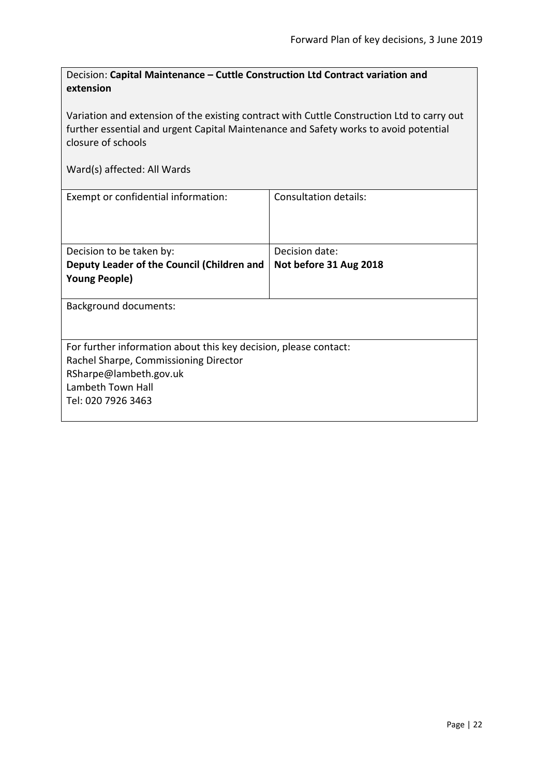<span id="page-21-0"></span>

| Decision: Capital Maintenance – Cuttle Construction Ltd Contract variation and |
|--------------------------------------------------------------------------------|
| extension                                                                      |

Variation and extension of the existing contract with Cuttle Construction Ltd to carry out further essential and urgent Capital Maintenance and Safety works to avoid potential closure of schools

| Exempt or confidential information:                              | Consultation details:  |
|------------------------------------------------------------------|------------------------|
| Decision to be taken by:                                         | Decision date:         |
|                                                                  |                        |
| Deputy Leader of the Council (Children and                       | Not before 31 Aug 2018 |
| <b>Young People)</b>                                             |                        |
|                                                                  |                        |
| <b>Background documents:</b>                                     |                        |
|                                                                  |                        |
| For further information about this key decision, please contact: |                        |
| Rachel Sharpe, Commissioning Director                            |                        |
| RSharpe@lambeth.gov.uk                                           |                        |
| Lambeth Town Hall                                                |                        |
| Tel: 020 7926 3463                                               |                        |
|                                                                  |                        |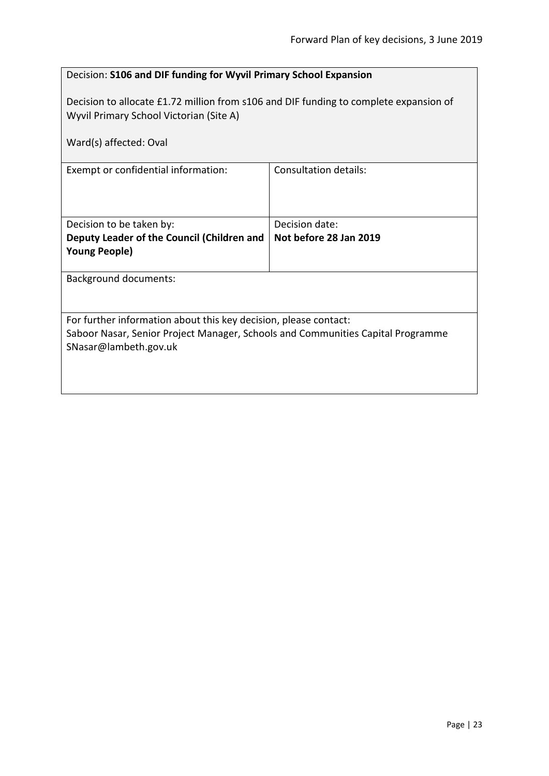<span id="page-22-0"></span>

| Decision: S106 and DIF funding for Wyvil Primary School Expansion                                                                                                            |                        |  |
|------------------------------------------------------------------------------------------------------------------------------------------------------------------------------|------------------------|--|
| Decision to allocate £1.72 million from s106 and DIF funding to complete expansion of<br>Wyvil Primary School Victorian (Site A)                                             |                        |  |
| Ward(s) affected: Oval                                                                                                                                                       |                        |  |
| Consultation details:<br>Exempt or confidential information:                                                                                                                 |                        |  |
| Decision to be taken by:                                                                                                                                                     | Decision date:         |  |
| Deputy Leader of the Council (Children and<br><b>Young People)</b>                                                                                                           | Not before 28 Jan 2019 |  |
| <b>Background documents:</b>                                                                                                                                                 |                        |  |
| For further information about this key decision, please contact:<br>Saboor Nasar, Senior Project Manager, Schools and Communities Capital Programme<br>SNasar@lambeth.gov.uk |                        |  |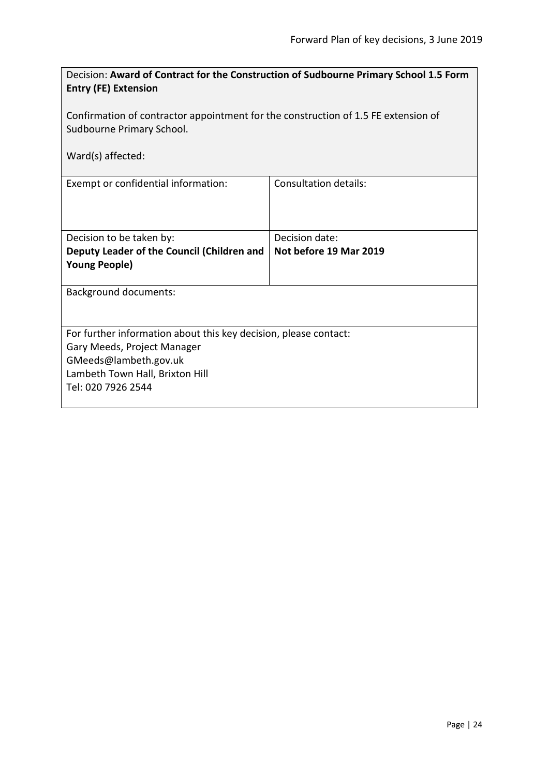<span id="page-23-0"></span>

| Decision: Award of Contract for the Construction of Sudbourne Primary School 1.5 Form<br><b>Entry (FE) Extension</b>                                                              |                              |  |
|-----------------------------------------------------------------------------------------------------------------------------------------------------------------------------------|------------------------------|--|
| Confirmation of contractor appointment for the construction of 1.5 FE extension of<br>Sudbourne Primary School.<br>Ward(s) affected:                                              |                              |  |
| Exempt or confidential information:                                                                                                                                               | <b>Consultation details:</b> |  |
| Decision to be taken by:                                                                                                                                                          | Decision date:               |  |
| Deputy Leader of the Council (Children and<br><b>Young People)</b>                                                                                                                | Not before 19 Mar 2019       |  |
| <b>Background documents:</b>                                                                                                                                                      |                              |  |
| For further information about this key decision, please contact:<br>Gary Meeds, Project Manager<br>GMeeds@lambeth.gov.uk<br>Lambeth Town Hall, Brixton Hill<br>Tel: 020 7926 2544 |                              |  |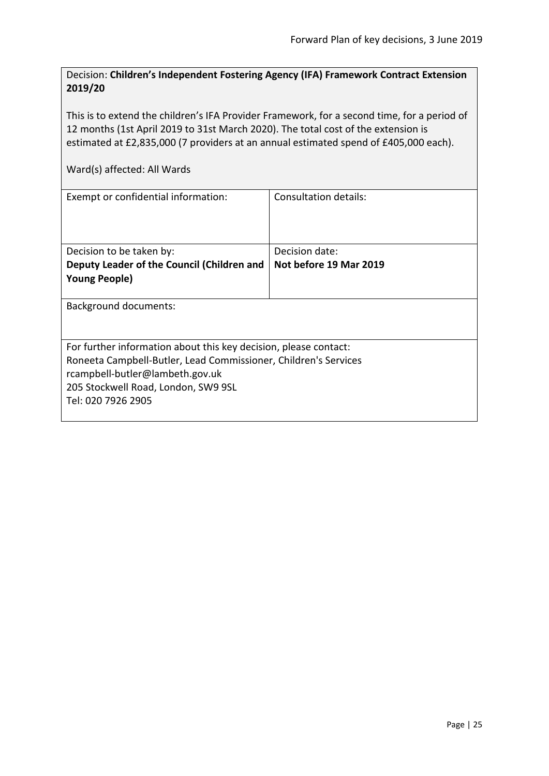<span id="page-24-0"></span>Decision: **Children's Independent Fostering Agency (IFA) Framework Contract Extension 2019/20**

This is to extend the children's IFA Provider Framework, for a second time, for a period of 12 months (1st April 2019 to 31st March 2020). The total cost of the extension is estimated at £2,835,000 (7 providers at an annual estimated spend of £405,000 each).

| Exempt or confidential information:                              | Consultation details:  |
|------------------------------------------------------------------|------------------------|
| Decision to be taken by:                                         | Decision date:         |
| Deputy Leader of the Council (Children and                       | Not before 19 Mar 2019 |
| <b>Young People)</b>                                             |                        |
| Background documents:                                            |                        |
| For further information about this key decision, please contact: |                        |
| Roneeta Campbell-Butler, Lead Commissioner, Children's Services  |                        |
| rcampbell-butler@lambeth.gov.uk                                  |                        |
| 205 Stockwell Road, London, SW9 9SL                              |                        |
| Tel: 020 7926 2905                                               |                        |
|                                                                  |                        |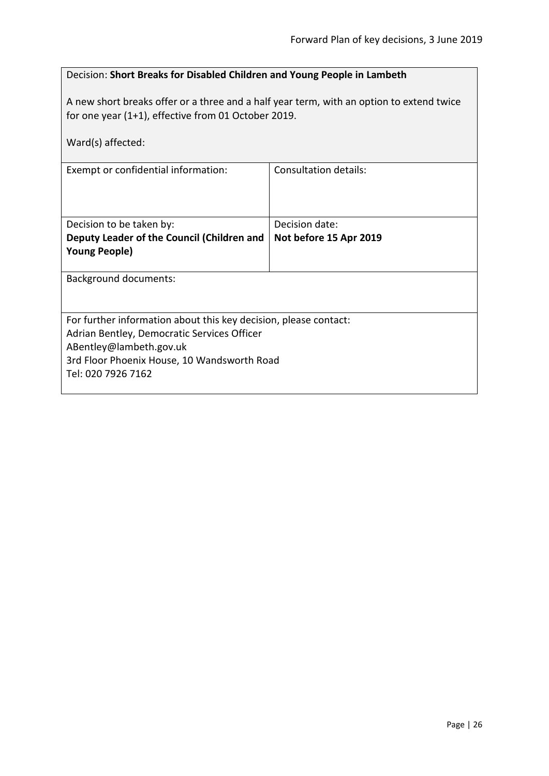#### <span id="page-25-0"></span>Decision: **Short Breaks for Disabled Children and Young People in Lambeth**

A new short breaks offer or a three and a half year term, with an option to extend twice for one year (1+1), effective from 01 October 2019.

| Ward(s) affected:                                                      |                              |
|------------------------------------------------------------------------|------------------------------|
| Exempt or confidential information:                                    | <b>Consultation details:</b> |
| Decision to be taken by:                                               | Decision date:               |
| Deputy Leader of the Council (Children and                             | Not before 15 Apr 2019       |
| <b>Young People)</b>                                                   |                              |
| Background documents:                                                  |                              |
| For further information about this key decision, please contact:       |                              |
| Adrian Bentley, Democratic Services Officer                            |                              |
| ABentley@lambeth.gov.uk<br>3rd Floor Phoenix House, 10 Wandsworth Road |                              |
| Tel: 020 7926 7162                                                     |                              |
|                                                                        |                              |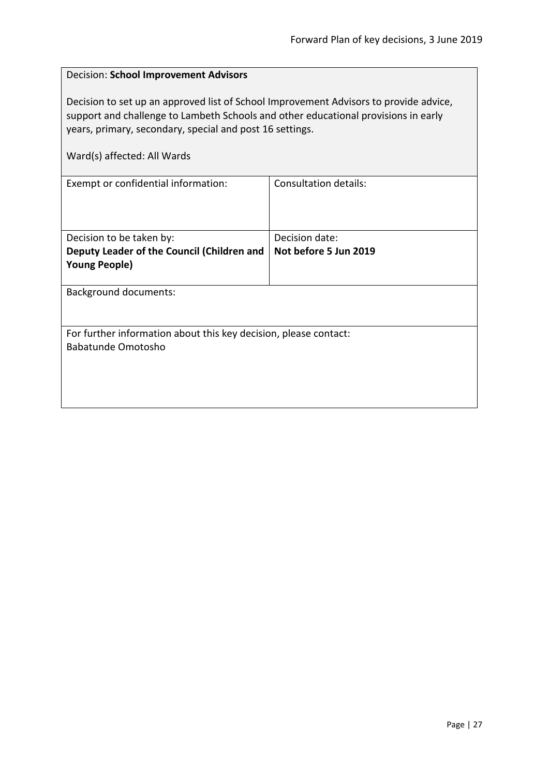<span id="page-26-0"></span>

| Decision: School Improvement Advisors                                                                                                                                                                                                                                  |                       |  |
|------------------------------------------------------------------------------------------------------------------------------------------------------------------------------------------------------------------------------------------------------------------------|-----------------------|--|
| Decision to set up an approved list of School Improvement Advisors to provide advice,<br>support and challenge to Lambeth Schools and other educational provisions in early<br>years, primary, secondary, special and post 16 settings.<br>Ward(s) affected: All Wards |                       |  |
| <b>Consultation details:</b><br>Exempt or confidential information:                                                                                                                                                                                                    |                       |  |
|                                                                                                                                                                                                                                                                        |                       |  |
| Decision to be taken by:                                                                                                                                                                                                                                               | Decision date:        |  |
| Deputy Leader of the Council (Children and                                                                                                                                                                                                                             | Not before 5 Jun 2019 |  |
| <b>Young People)</b>                                                                                                                                                                                                                                                   |                       |  |
| <b>Background documents:</b>                                                                                                                                                                                                                                           |                       |  |
|                                                                                                                                                                                                                                                                        |                       |  |
| For further information about this key decision, please contact:                                                                                                                                                                                                       |                       |  |
| <b>Babatunde Omotosho</b>                                                                                                                                                                                                                                              |                       |  |
|                                                                                                                                                                                                                                                                        |                       |  |
|                                                                                                                                                                                                                                                                        |                       |  |
|                                                                                                                                                                                                                                                                        |                       |  |
|                                                                                                                                                                                                                                                                        |                       |  |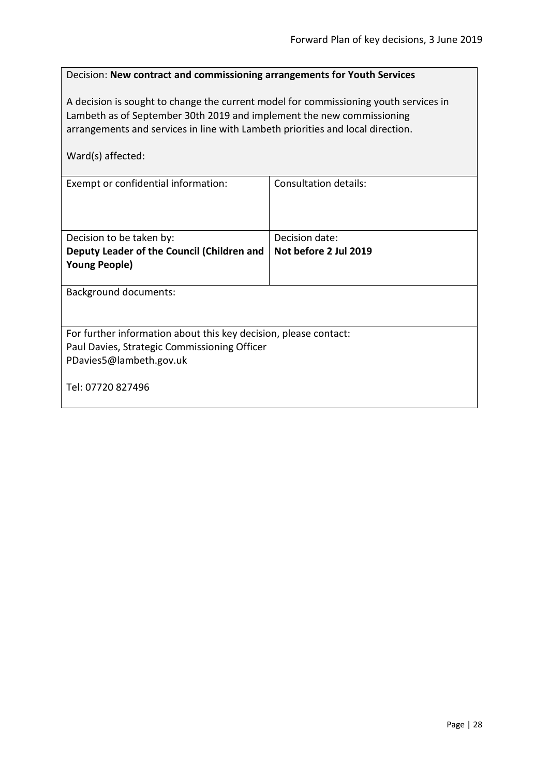<span id="page-27-0"></span>

| Decision: New contract and commissioning arrangements for Youth Services                                                                                                                                                                                             |                              |  |
|----------------------------------------------------------------------------------------------------------------------------------------------------------------------------------------------------------------------------------------------------------------------|------------------------------|--|
| A decision is sought to change the current model for commissioning youth services in<br>Lambeth as of September 30th 2019 and implement the new commissioning<br>arrangements and services in line with Lambeth priorities and local direction.<br>Ward(s) affected: |                              |  |
| Exempt or confidential information:                                                                                                                                                                                                                                  | <b>Consultation details:</b> |  |
|                                                                                                                                                                                                                                                                      |                              |  |
| Decision to be taken by:                                                                                                                                                                                                                                             | Decision date:               |  |
| Deputy Leader of the Council (Children and<br>Not before 2 Jul 2019                                                                                                                                                                                                  |                              |  |
| <b>Young People)</b>                                                                                                                                                                                                                                                 |                              |  |
| <b>Background documents:</b>                                                                                                                                                                                                                                         |                              |  |
|                                                                                                                                                                                                                                                                      |                              |  |
| For further information about this key decision, please contact:                                                                                                                                                                                                     |                              |  |
| Paul Davies, Strategic Commissioning Officer                                                                                                                                                                                                                         |                              |  |
| PDavies5@lambeth.gov.uk                                                                                                                                                                                                                                              |                              |  |
| Tel: 07720 827496                                                                                                                                                                                                                                                    |                              |  |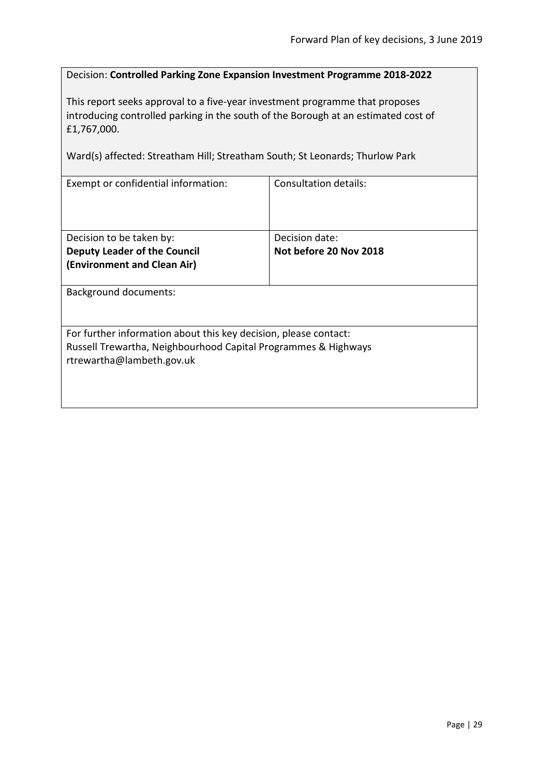#### <span id="page-28-0"></span>Decision: **Controlled Parking Zone Expansion Investment Programme 2018-2022**

This report seeks approval to a five-year investment programme that proposes introducing controlled parking in the south of the Borough at an estimated cost of £1,767,000.

Ward(s) affected: Streatham Hill; Streatham South; St Leonards; Thurlow Park

| Exempt or confidential information:                              | Consultation details:  |
|------------------------------------------------------------------|------------------------|
|                                                                  |                        |
|                                                                  |                        |
|                                                                  |                        |
|                                                                  |                        |
| Decision to be taken by:                                         | Decision date:         |
| <b>Deputy Leader of the Council</b>                              | Not before 20 Nov 2018 |
| (Environment and Clean Air)                                      |                        |
|                                                                  |                        |
| <b>Background documents:</b>                                     |                        |
|                                                                  |                        |
|                                                                  |                        |
|                                                                  |                        |
| For further information about this key decision, please contact: |                        |
| Russell Trewartha, Neighbourhood Capital Programmes & Highways   |                        |
| rtrewartha@lambeth.gov.uk                                        |                        |
|                                                                  |                        |
|                                                                  |                        |
|                                                                  |                        |
|                                                                  |                        |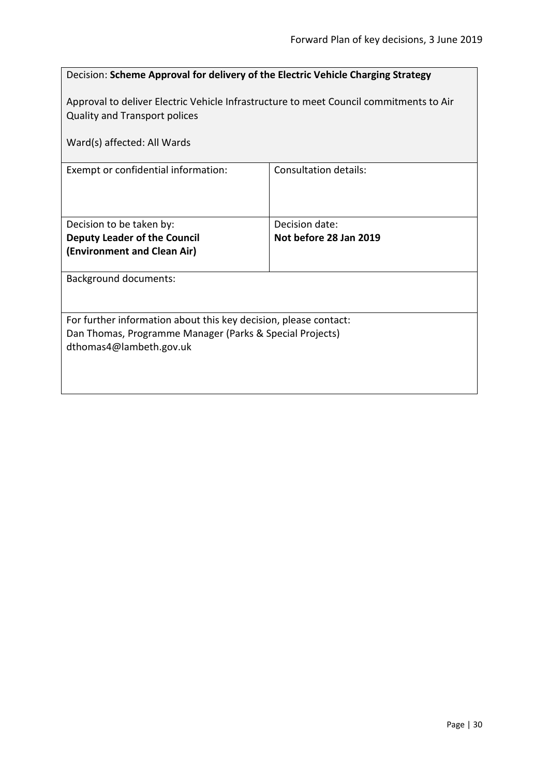<span id="page-29-0"></span>

| Decision: Scheme Approval for delivery of the Electric Vehicle Charging Strategy                                               |                        |
|--------------------------------------------------------------------------------------------------------------------------------|------------------------|
| Approval to deliver Electric Vehicle Infrastructure to meet Council commitments to Air<br><b>Quality and Transport polices</b> |                        |
| Ward(s) affected: All Wards                                                                                                    |                        |
| Exempt or confidential information:                                                                                            | Consultation details:  |
| Decision to be taken by:                                                                                                       | Decision date:         |
| <b>Deputy Leader of the Council</b><br>(Environment and Clean Air)                                                             | Not before 28 Jan 2019 |
|                                                                                                                                |                        |
| <b>Background documents:</b>                                                                                                   |                        |
| For further information about this key decision, please contact:                                                               |                        |
| Dan Thomas, Programme Manager (Parks & Special Projects)<br>dthomas4@lambeth.gov.uk                                            |                        |
|                                                                                                                                |                        |
|                                                                                                                                |                        |
|                                                                                                                                |                        |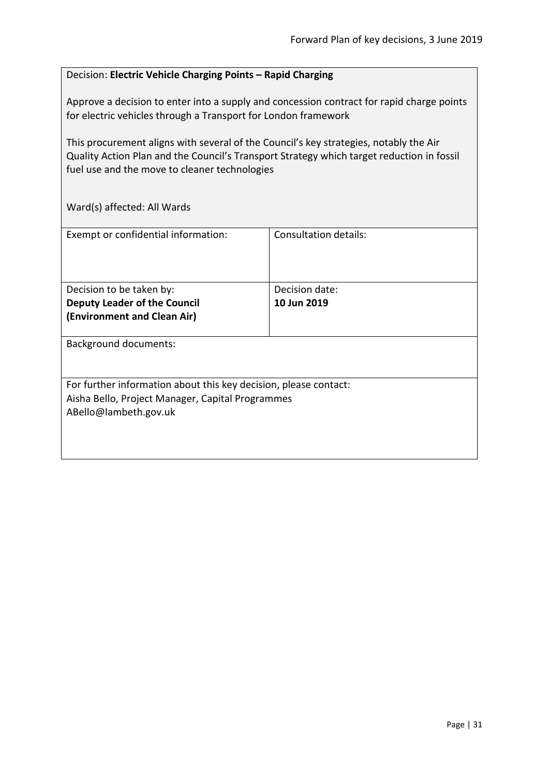### <span id="page-30-0"></span>Decision: **Electric Vehicle Charging Points – Rapid Charging**

Approve a decision to enter into a supply and concession contract for rapid charge points for electric vehicles through a Transport for London framework

This procurement aligns with several of the Council's key strategies, notably the Air Quality Action Plan and the Council's Transport Strategy which target reduction in fossil fuel use and the move to cleaner technologies

| Exempt or confidential information:                                                                                                           | <b>Consultation details:</b>  |
|-----------------------------------------------------------------------------------------------------------------------------------------------|-------------------------------|
| Decision to be taken by:<br><b>Deputy Leader of the Council</b><br>(Environment and Clean Air)                                                | Decision date:<br>10 Jun 2019 |
| <b>Background documents:</b>                                                                                                                  |                               |
| For further information about this key decision, please contact:<br>Aisha Bello, Project Manager, Capital Programmes<br>ABello@lambeth.gov.uk |                               |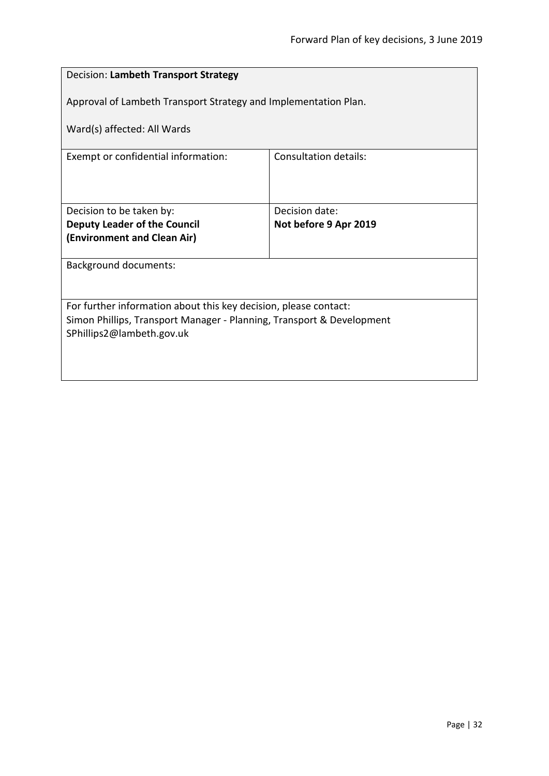<span id="page-31-0"></span>

| Decision: Lambeth Transport Strategy                                  |                       |  |
|-----------------------------------------------------------------------|-----------------------|--|
| Approval of Lambeth Transport Strategy and Implementation Plan.       |                       |  |
| Ward(s) affected: All Wards                                           |                       |  |
| Exempt or confidential information:                                   | Consultation details: |  |
|                                                                       |                       |  |
| Decision to be taken by:                                              | Decision date:        |  |
| <b>Deputy Leader of the Council</b>                                   | Not before 9 Apr 2019 |  |
| (Environment and Clean Air)                                           |                       |  |
| <b>Background documents:</b>                                          |                       |  |
|                                                                       |                       |  |
| For further information about this key decision, please contact:      |                       |  |
| Simon Phillips, Transport Manager - Planning, Transport & Development |                       |  |
| SPhillips2@lambeth.gov.uk                                             |                       |  |
|                                                                       |                       |  |
|                                                                       |                       |  |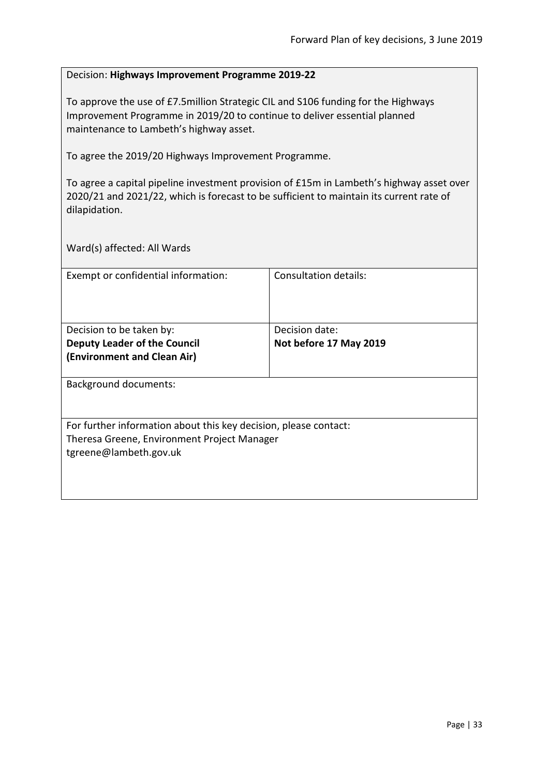#### <span id="page-32-0"></span>Decision: **Highways Improvement Programme 2019-22**

To approve the use of £7.5million Strategic CIL and S106 funding for the Highways Improvement Programme in 2019/20 to continue to deliver essential planned maintenance to Lambeth's highway asset.

To agree the 2019/20 Highways Improvement Programme.

To agree a capital pipeline investment provision of £15m in Lambeth's highway asset over 2020/21 and 2021/22, which is forecast to be sufficient to maintain its current rate of dilapidation.

| Exempt or confidential information:                              | Consultation details:  |
|------------------------------------------------------------------|------------------------|
|                                                                  |                        |
|                                                                  |                        |
|                                                                  |                        |
|                                                                  |                        |
| Decision to be taken by:                                         | Decision date:         |
| <b>Deputy Leader of the Council</b>                              | Not before 17 May 2019 |
| (Environment and Clean Air)                                      |                        |
|                                                                  |                        |
| <b>Background documents:</b>                                     |                        |
|                                                                  |                        |
|                                                                  |                        |
|                                                                  |                        |
| For further information about this key decision, please contact: |                        |
| Theresa Greene, Environment Project Manager                      |                        |
| tgreene@lambeth.gov.uk                                           |                        |
|                                                                  |                        |
|                                                                  |                        |
|                                                                  |                        |
|                                                                  |                        |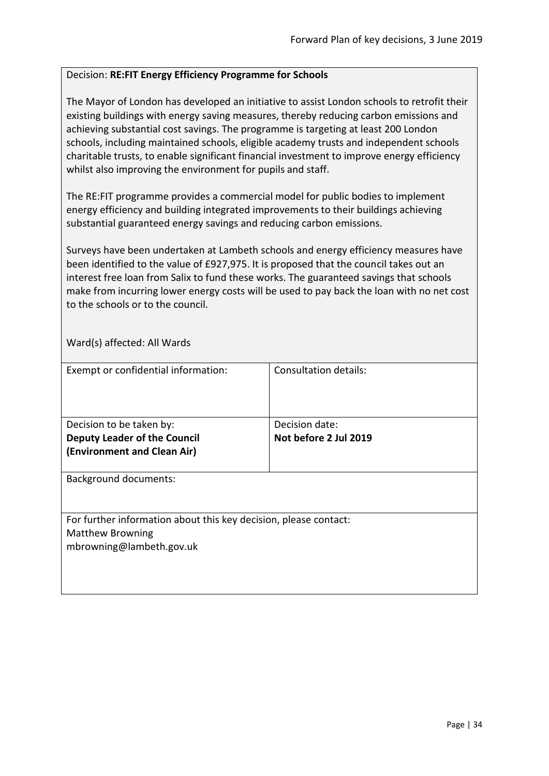#### <span id="page-33-0"></span>Decision: **RE:FIT Energy Efficiency Programme for Schools**

The Mayor of London has developed an initiative to assist London schools to retrofit their existing buildings with energy saving measures, thereby reducing carbon emissions and achieving substantial cost savings. The programme is targeting at least 200 London schools, including maintained schools, eligible academy trusts and independent schools charitable trusts, to enable significant financial investment to improve energy efficiency whilst also improving the environment for pupils and staff.

The RE:FIT programme provides a commercial model for public bodies to implement energy efficiency and building integrated improvements to their buildings achieving substantial guaranteed energy savings and reducing carbon emissions.

Surveys have been undertaken at Lambeth schools and energy efficiency measures have been identified to the value of £927,975. It is proposed that the council takes out an interest free loan from Salix to fund these works. The guaranteed savings that schools make from incurring lower energy costs will be used to pay back the loan with no net cost to the schools or to the council.

| Exempt or confidential information:                                                                                     | <b>Consultation details:</b>            |
|-------------------------------------------------------------------------------------------------------------------------|-----------------------------------------|
| Decision to be taken by:<br><b>Deputy Leader of the Council</b><br>(Environment and Clean Air)                          | Decision date:<br>Not before 2 Jul 2019 |
| <b>Background documents:</b>                                                                                            |                                         |
| For further information about this key decision, please contact:<br><b>Matthew Browning</b><br>mbrowning@lambeth.gov.uk |                                         |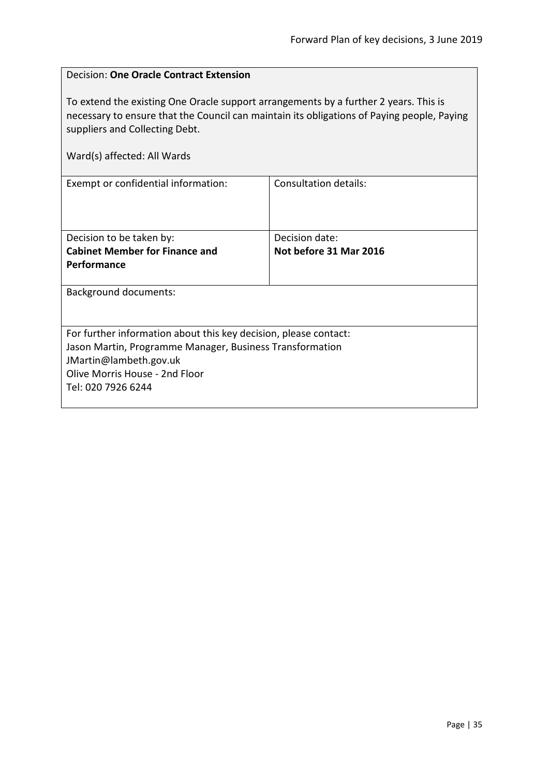$\overline{\phantom{0}}$ 

<span id="page-34-0"></span>

| <b>Decision: One Oracle Contract Extension</b>                                                                                                                                                                       |                        |
|----------------------------------------------------------------------------------------------------------------------------------------------------------------------------------------------------------------------|------------------------|
| To extend the existing One Oracle support arrangements by a further 2 years. This is<br>necessary to ensure that the Council can maintain its obligations of Paying people, Paying<br>suppliers and Collecting Debt. |                        |
| Ward(s) affected: All Wards                                                                                                                                                                                          |                        |
| Exempt or confidential information:                                                                                                                                                                                  | Consultation details:  |
| Decision to be taken by:                                                                                                                                                                                             | Decision date:         |
| <b>Cabinet Member for Finance and</b>                                                                                                                                                                                | Not before 31 Mar 2016 |
| Performance                                                                                                                                                                                                          |                        |
| <b>Background documents:</b>                                                                                                                                                                                         |                        |
| For further information about this key decision, please contact:<br>Jason Martin, Programme Manager, Business Transformation<br>JMartin@lambeth.gov.uk<br>Olive Morris House - 2nd Floor<br>Tel: 020 7926 6244       |                        |

 $\mathbf{r}$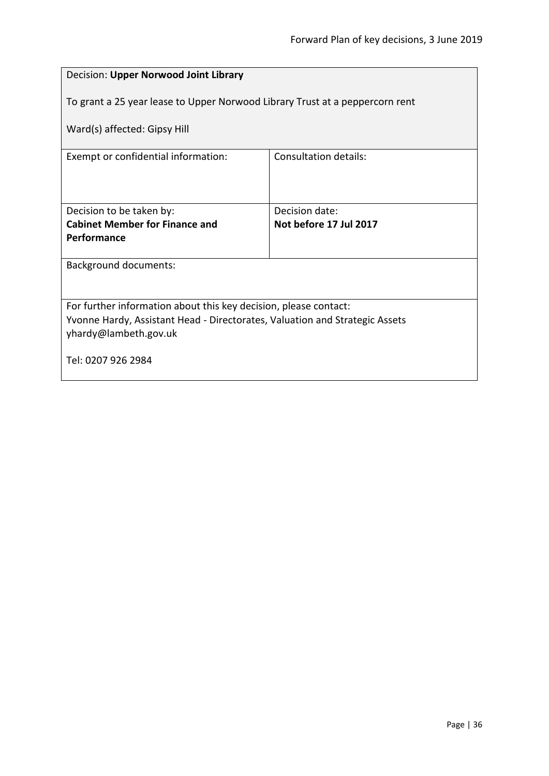<span id="page-35-0"></span>

| Decision: Upper Norwood Joint Library                                        |                                          |  |
|------------------------------------------------------------------------------|------------------------------------------|--|
| To grant a 25 year lease to Upper Norwood Library Trust at a peppercorn rent |                                          |  |
| Ward(s) affected: Gipsy Hill                                                 |                                          |  |
| Exempt or confidential information:                                          | <b>Consultation details:</b>             |  |
|                                                                              |                                          |  |
| Decision to be taken by:<br><b>Cabinet Member for Finance and</b>            | Decision date:<br>Not before 17 Jul 2017 |  |
| Performance                                                                  |                                          |  |
|                                                                              |                                          |  |
| <b>Background documents:</b>                                                 |                                          |  |
|                                                                              |                                          |  |
| For further information about this key decision, please contact:             |                                          |  |
| Yvonne Hardy, Assistant Head - Directorates, Valuation and Strategic Assets  |                                          |  |
| yhardy@lambeth.gov.uk                                                        |                                          |  |
| Tel: 0207 926 2984                                                           |                                          |  |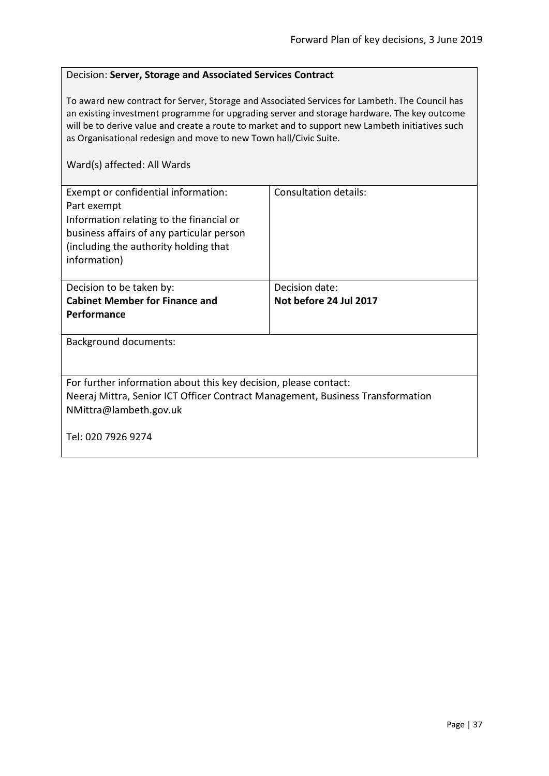#### Decision: **Server, Storage and Associated Services Contract**

To award new contract for Server, Storage and Associated Services for Lambeth. The Council has an existing investment programme for upgrading server and storage hardware. The key outcome will be to derive value and create a route to market and to support new Lambeth initiatives such as Organisational redesign and move to new Town hall/Civic Suite.

| Exempt or confidential information:<br>Part exempt<br>Information relating to the financial or<br>business affairs of any particular person<br>(including the authority holding that<br>information) | Consultation details:  |  |
|------------------------------------------------------------------------------------------------------------------------------------------------------------------------------------------------------|------------------------|--|
| Decision to be taken by:                                                                                                                                                                             | Decision date:         |  |
| <b>Cabinet Member for Finance and</b>                                                                                                                                                                | Not before 24 Jul 2017 |  |
| <b>Performance</b>                                                                                                                                                                                   |                        |  |
| <b>Background documents:</b>                                                                                                                                                                         |                        |  |
| For further information about this key decision, please contact:<br>Neeraj Mittra, Senior ICT Officer Contract Management, Business Transformation<br>NMittra@lambeth.gov.uk                         |                        |  |
| Tel: 020 7926 9274                                                                                                                                                                                   |                        |  |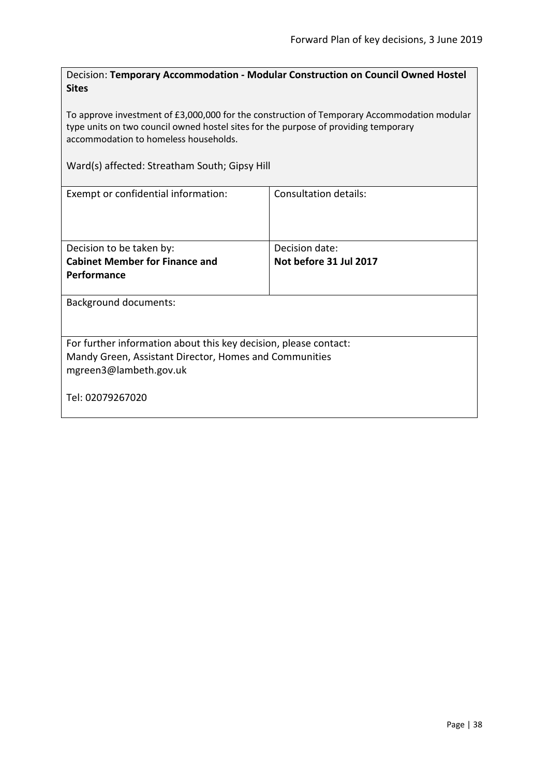Decision: **Temporary Accommodation - Modular Construction on Council Owned Hostel Sites**

To approve investment of £3,000,000 for the construction of Temporary Accommodation modular type units on two council owned hostel sites for the purpose of providing temporary accommodation to homeless households.

Ward(s) affected: Streatham South; Gipsy Hill

| Exempt or confidential information:                                                                                                                  | <b>Consultation details:</b> |  |
|------------------------------------------------------------------------------------------------------------------------------------------------------|------------------------------|--|
| Decision to be taken by:                                                                                                                             | Decision date:               |  |
| <b>Cabinet Member for Finance and</b>                                                                                                                | Not before 31 Jul 2017       |  |
| <b>Performance</b>                                                                                                                                   |                              |  |
| <b>Background documents:</b>                                                                                                                         |                              |  |
| For further information about this key decision, please contact:<br>Mandy Green, Assistant Director, Homes and Communities<br>mgreen3@lambeth.gov.uk |                              |  |
| Tel: 02079267020                                                                                                                                     |                              |  |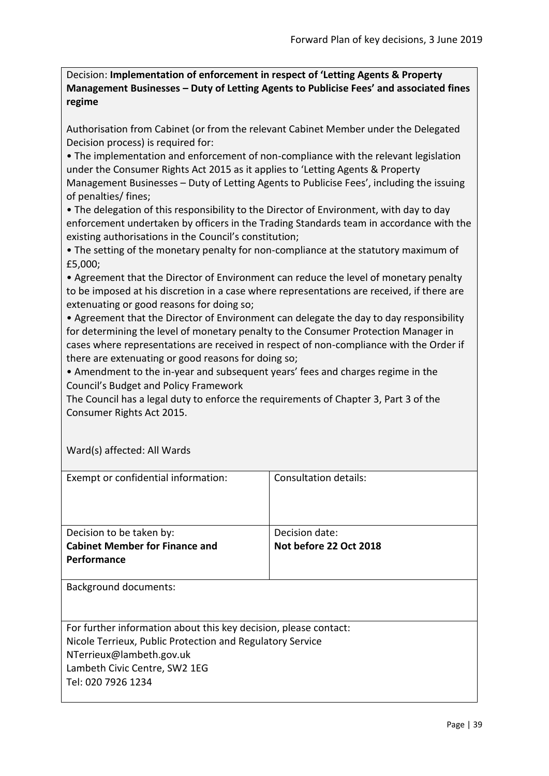Decision: **Implementation of enforcement in respect of 'Letting Agents & Property Management Businesses – Duty of Letting Agents to Publicise Fees' and associated fines regime**

Authorisation from Cabinet (or from the relevant Cabinet Member under the Delegated Decision process) is required for:

• The implementation and enforcement of non-compliance with the relevant legislation under the Consumer Rights Act 2015 as it applies to 'Letting Agents & Property Management Businesses – Duty of Letting Agents to Publicise Fees', including the issuing of penalties/ fines;

• The delegation of this responsibility to the Director of Environment, with day to day enforcement undertaken by officers in the Trading Standards team in accordance with the existing authorisations in the Council's constitution;

• The setting of the monetary penalty for non-compliance at the statutory maximum of £5,000;

• Agreement that the Director of Environment can reduce the level of monetary penalty to be imposed at his discretion in a case where representations are received, if there are extenuating or good reasons for doing so;

• Agreement that the Director of Environment can delegate the day to day responsibility for determining the level of monetary penalty to the Consumer Protection Manager in cases where representations are received in respect of non-compliance with the Order if there are extenuating or good reasons for doing so;

• Amendment to the in-year and subsequent years' fees and charges regime in the Council's Budget and Policy Framework

The Council has a legal duty to enforce the requirements of Chapter 3, Part 3 of the Consumer Rights Act 2015.

| Exempt or confidential information:                              | Consultation details:  |
|------------------------------------------------------------------|------------------------|
| Decision to be taken by:                                         | Decision date:         |
| <b>Cabinet Member for Finance and</b>                            | Not before 22 Oct 2018 |
| <b>Performance</b>                                               |                        |
| Background documents:                                            |                        |
| For further information about this key decision, please contact: |                        |
| Nicole Terrieux, Public Protection and Regulatory Service        |                        |
| NTerrieux@lambeth.gov.uk                                         |                        |
| Lambeth Civic Centre, SW2 1EG                                    |                        |
| Tel: 020 7926 1234                                               |                        |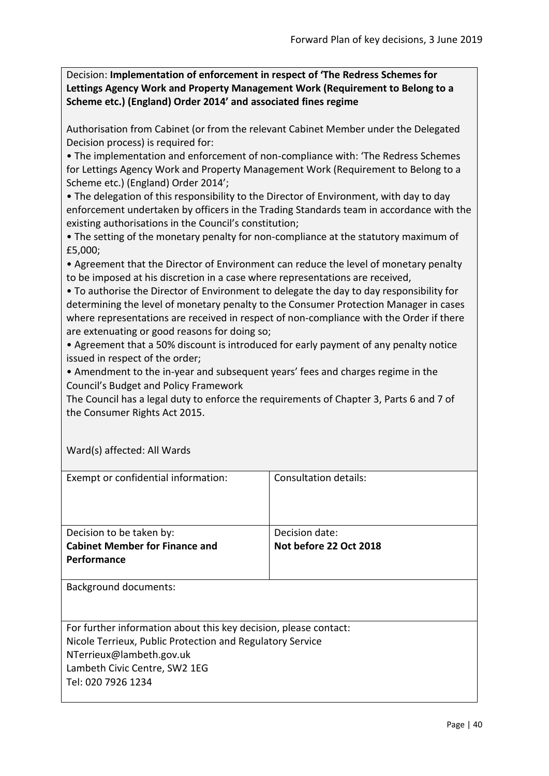Decision: **Implementation of enforcement in respect of 'The Redress Schemes for Lettings Agency Work and Property Management Work (Requirement to Belong to a Scheme etc.) (England) Order 2014' and associated fines regime**

Authorisation from Cabinet (or from the relevant Cabinet Member under the Delegated Decision process) is required for:

• The implementation and enforcement of non-compliance with: 'The Redress Schemes for Lettings Agency Work and Property Management Work (Requirement to Belong to a Scheme etc.) (England) Order 2014';

• The delegation of this responsibility to the Director of Environment, with day to day enforcement undertaken by officers in the Trading Standards team in accordance with the existing authorisations in the Council's constitution;

• The setting of the monetary penalty for non-compliance at the statutory maximum of £5,000;

• Agreement that the Director of Environment can reduce the level of monetary penalty to be imposed at his discretion in a case where representations are received,

• To authorise the Director of Environment to delegate the day to day responsibility for determining the level of monetary penalty to the Consumer Protection Manager in cases where representations are received in respect of non-compliance with the Order if there are extenuating or good reasons for doing so;

• Agreement that a 50% discount is introduced for early payment of any penalty notice issued in respect of the order;

• Amendment to the in-year and subsequent years' fees and charges regime in the Council's Budget and Policy Framework

The Council has a legal duty to enforce the requirements of Chapter 3, Parts 6 and 7 of the Consumer Rights Act 2015.

| Exempt or confidential information:                              | Consultation details:  |
|------------------------------------------------------------------|------------------------|
| Decision to be taken by:                                         | Decision date:         |
| <b>Cabinet Member for Finance and</b>                            | Not before 22 Oct 2018 |
| <b>Performance</b>                                               |                        |
| <b>Background documents:</b>                                     |                        |
| For further information about this key decision, please contact: |                        |
| Nicole Terrieux, Public Protection and Regulatory Service        |                        |
| NTerrieux@lambeth.gov.uk                                         |                        |
| Lambeth Civic Centre, SW2 1EG                                    |                        |
| Tel: 020 7926 1234                                               |                        |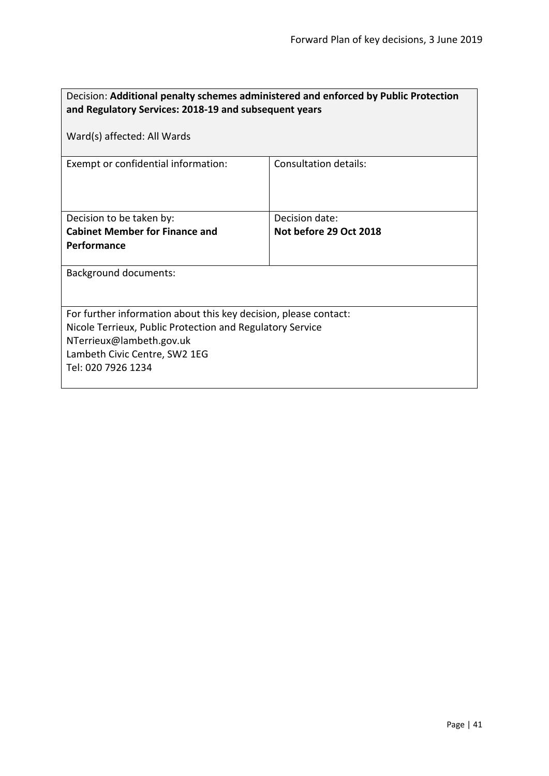| and Regulatory Services: 2018-19 and subsequent years<br>Ward(s) affected: All Wards<br>Consultation details:<br>Exempt or confidential information:<br>Decision to be taken by:<br>Decision date:<br><b>Cabinet Member for Finance and</b><br>Not before 29 Oct 2018<br>Performance |  |  |
|--------------------------------------------------------------------------------------------------------------------------------------------------------------------------------------------------------------------------------------------------------------------------------------|--|--|
|                                                                                                                                                                                                                                                                                      |  |  |
|                                                                                                                                                                                                                                                                                      |  |  |
|                                                                                                                                                                                                                                                                                      |  |  |
|                                                                                                                                                                                                                                                                                      |  |  |
|                                                                                                                                                                                                                                                                                      |  |  |
|                                                                                                                                                                                                                                                                                      |  |  |
|                                                                                                                                                                                                                                                                                      |  |  |
|                                                                                                                                                                                                                                                                                      |  |  |
|                                                                                                                                                                                                                                                                                      |  |  |
|                                                                                                                                                                                                                                                                                      |  |  |
|                                                                                                                                                                                                                                                                                      |  |  |
| <b>Background documents:</b>                                                                                                                                                                                                                                                         |  |  |
|                                                                                                                                                                                                                                                                                      |  |  |
|                                                                                                                                                                                                                                                                                      |  |  |
| For further information about this key decision, please contact:                                                                                                                                                                                                                     |  |  |
| Nicole Terrieux, Public Protection and Regulatory Service                                                                                                                                                                                                                            |  |  |
| NTerrieux@lambeth.gov.uk<br>Lambeth Civic Centre, SW2 1EG                                                                                                                                                                                                                            |  |  |
| Tel: 020 7926 1234                                                                                                                                                                                                                                                                   |  |  |
|                                                                                                                                                                                                                                                                                      |  |  |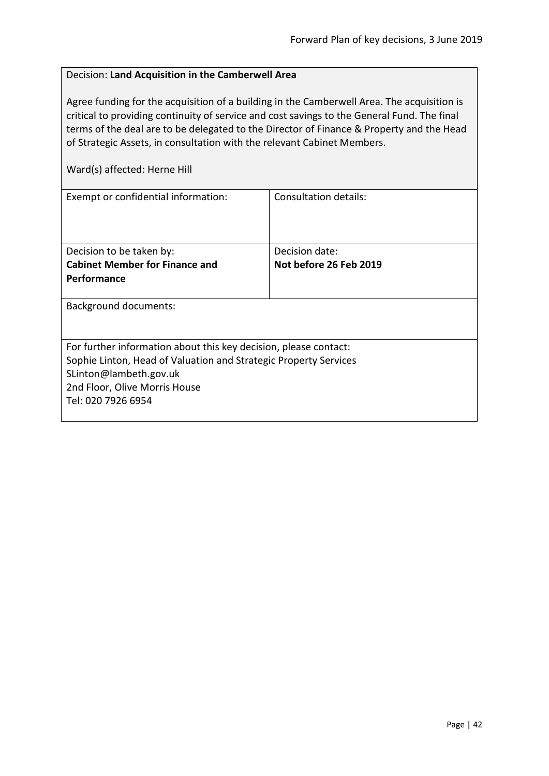# Decision: **Land Acquisition in the Camberwell Area**

Agree funding for the acquisition of a building in the Camberwell Area. The acquisition is critical to providing continuity of service and cost savings to the General Fund. The final terms of the deal are to be delegated to the Director of Finance & Property and the Head of Strategic Assets, in consultation with the relevant Cabinet Members.

Ward(s) affected: Herne Hill

| Exempt or confidential information:                              | Consultation details:  |  |
|------------------------------------------------------------------|------------------------|--|
|                                                                  |                        |  |
|                                                                  |                        |  |
|                                                                  |                        |  |
| Decision to be taken by:                                         | Decision date:         |  |
| <b>Cabinet Member for Finance and</b>                            | Not before 26 Feb 2019 |  |
| Performance                                                      |                        |  |
|                                                                  |                        |  |
| <b>Background documents:</b>                                     |                        |  |
|                                                                  |                        |  |
|                                                                  |                        |  |
| For further information about this key decision, please contact: |                        |  |
| Sophie Linton, Head of Valuation and Strategic Property Services |                        |  |
| SLinton@lambeth.gov.uk                                           |                        |  |
| 2nd Floor, Olive Morris House                                    |                        |  |
| Tel: 020 7926 6954                                               |                        |  |
|                                                                  |                        |  |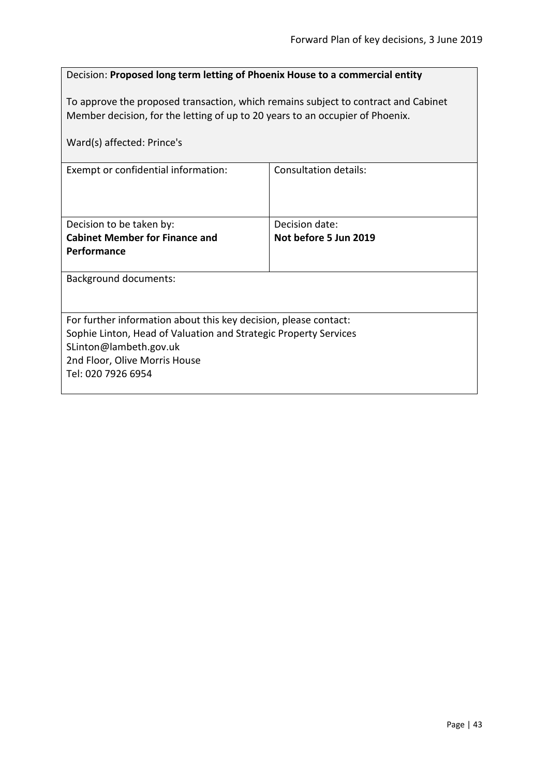# Decision: **Proposed long term letting of Phoenix House to a commercial entity**

To approve the proposed transaction, which remains subject to contract and Cabinet Member decision, for the letting of up to 20 years to an occupier of Phoenix.

| Ward(s) affected: Prince's                                       |                       |
|------------------------------------------------------------------|-----------------------|
| Exempt or confidential information:                              | Consultation details: |
| Decision to be taken by:                                         | Decision date:        |
| <b>Cabinet Member for Finance and</b>                            | Not before 5 Jun 2019 |
| Performance                                                      |                       |
| <b>Background documents:</b>                                     |                       |
| For further information about this key decision, please contact: |                       |
| Sophie Linton, Head of Valuation and Strategic Property Services |                       |
| SLinton@lambeth.gov.uk                                           |                       |
| 2nd Floor, Olive Morris House<br>Tel: 020 7926 6954              |                       |
|                                                                  |                       |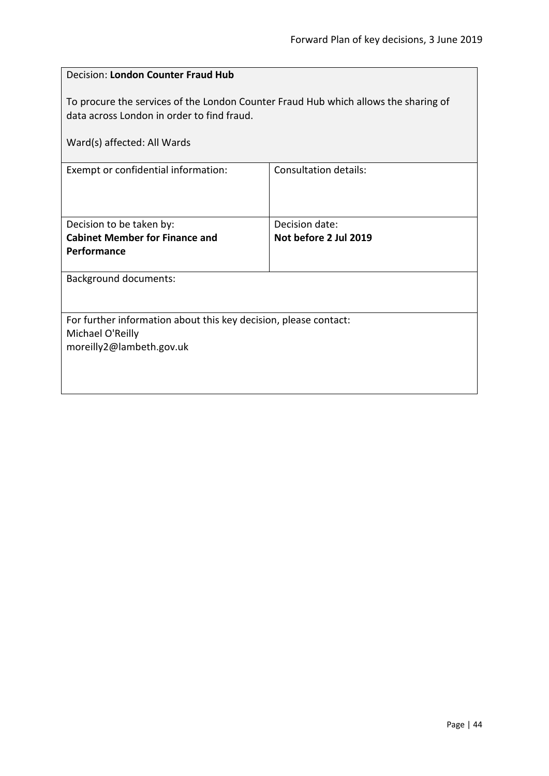| Decision: London Counter Fraud Hub                                                                                                                               |                              |  |
|------------------------------------------------------------------------------------------------------------------------------------------------------------------|------------------------------|--|
| To procure the services of the London Counter Fraud Hub which allows the sharing of<br>data across London in order to find fraud.<br>Ward(s) affected: All Wards |                              |  |
|                                                                                                                                                                  |                              |  |
| Exempt or confidential information:                                                                                                                              | <b>Consultation details:</b> |  |
|                                                                                                                                                                  |                              |  |
| Decision to be taken by:                                                                                                                                         | Decision date:               |  |
| <b>Cabinet Member for Finance and</b>                                                                                                                            | Not before 2 Jul 2019        |  |
| Performance                                                                                                                                                      |                              |  |
| <b>Background documents:</b>                                                                                                                                     |                              |  |
|                                                                                                                                                                  |                              |  |
| For further information about this key decision, please contact:                                                                                                 |                              |  |
| Michael O'Reilly                                                                                                                                                 |                              |  |
| moreilly2@lambeth.gov.uk                                                                                                                                         |                              |  |
|                                                                                                                                                                  |                              |  |
|                                                                                                                                                                  |                              |  |
|                                                                                                                                                                  |                              |  |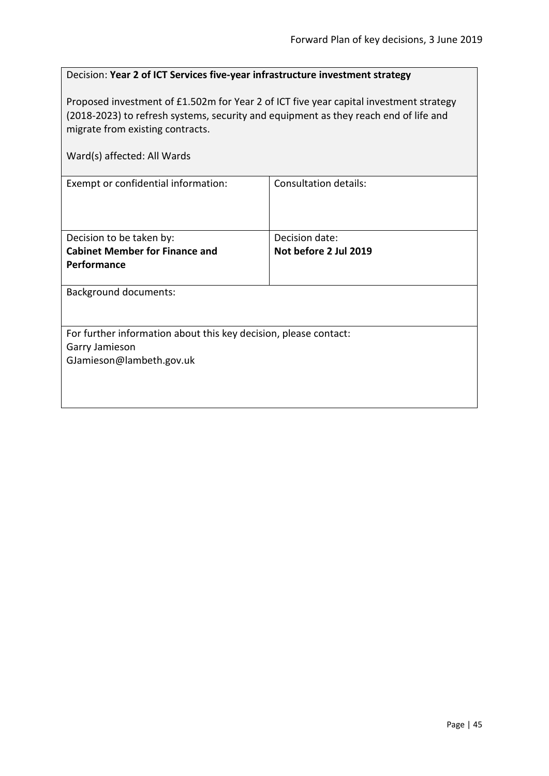| Decision: Year 2 of ICT Services five-year infrastructure investment strategy |  |
|-------------------------------------------------------------------------------|--|
|-------------------------------------------------------------------------------|--|

Proposed investment of £1.502m for Year 2 of ICT five year capital investment strategy (2018-2023) to refresh systems, security and equipment as they reach end of life and migrate from existing contracts.

| Ward(s) affected: All Wards                                                                                    |                                         |  |
|----------------------------------------------------------------------------------------------------------------|-----------------------------------------|--|
| Exempt or confidential information:                                                                            | Consultation details:                   |  |
| Decision to be taken by:<br><b>Cabinet Member for Finance and</b><br>Performance                               | Decision date:<br>Not before 2 Jul 2019 |  |
| <b>Background documents:</b>                                                                                   |                                         |  |
| For further information about this key decision, please contact:<br>Garry Jamieson<br>GJamieson@lambeth.gov.uk |                                         |  |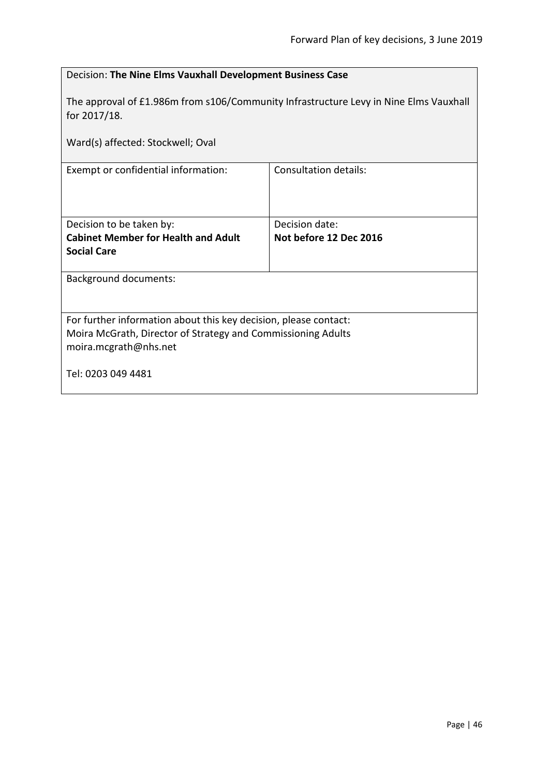|                                                                                                       | Decision: The Nine Elms Vauxhall Development Business Case |  |
|-------------------------------------------------------------------------------------------------------|------------------------------------------------------------|--|
| The approval of £1.986m from s106/Community Infrastructure Levy in Nine Elms Vauxhall<br>for 2017/18. |                                                            |  |
| Ward(s) affected: Stockwell; Oval                                                                     |                                                            |  |
| <b>Consultation details:</b><br>Exempt or confidential information:                                   |                                                            |  |
|                                                                                                       |                                                            |  |
| Decision to be taken by:                                                                              | Decision date:                                             |  |
| <b>Cabinet Member for Health and Adult</b><br>Not before 12 Dec 2016                                  |                                                            |  |
| <b>Social Care</b>                                                                                    |                                                            |  |
| <b>Background documents:</b>                                                                          |                                                            |  |
|                                                                                                       |                                                            |  |
| For further information about this key decision, please contact:                                      |                                                            |  |
| Moira McGrath, Director of Strategy and Commissioning Adults                                          |                                                            |  |
| moira.mcgrath@nhs.net                                                                                 |                                                            |  |
| Tel: 0203 049 4481                                                                                    |                                                            |  |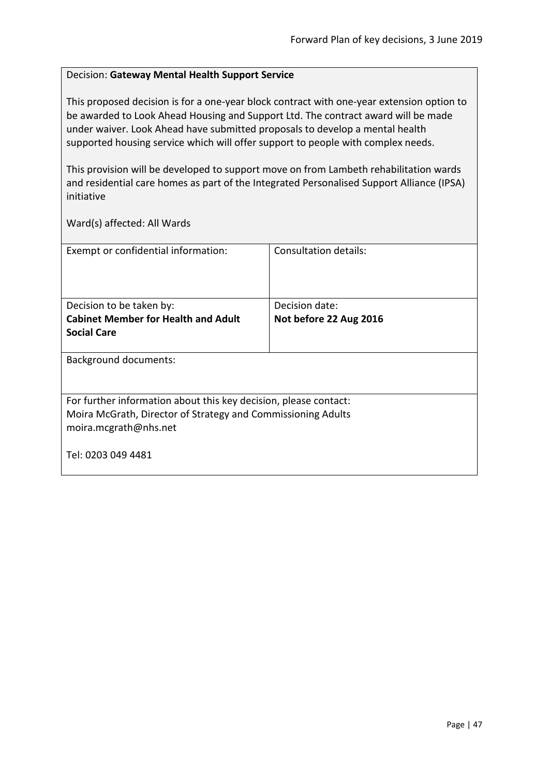## Decision: **Gateway Mental Health Support Service**

This proposed decision is for a one-year block contract with one-year extension option to be awarded to Look Ahead Housing and Support Ltd. The contract award will be made under waiver. Look Ahead have submitted proposals to develop a mental health supported housing service which will offer support to people with complex needs.

This provision will be developed to support move on from Lambeth rehabilitation wards and residential care homes as part of the Integrated Personalised Support Alliance (IPSA) initiative

| Exempt or confidential information:                              | Consultation details:  |
|------------------------------------------------------------------|------------------------|
| Decision to be taken by:                                         | Decision date:         |
| <b>Cabinet Member for Health and Adult</b>                       | Not before 22 Aug 2016 |
|                                                                  |                        |
| <b>Social Care</b>                                               |                        |
|                                                                  |                        |
| <b>Background documents:</b>                                     |                        |
|                                                                  |                        |
|                                                                  |                        |
| For further information about this key decision, please contact: |                        |
|                                                                  |                        |
| Moira McGrath, Director of Strategy and Commissioning Adults     |                        |
| moira.mcgrath@nhs.net                                            |                        |
|                                                                  |                        |
| Tel: 0203 049 4481                                               |                        |
|                                                                  |                        |
|                                                                  |                        |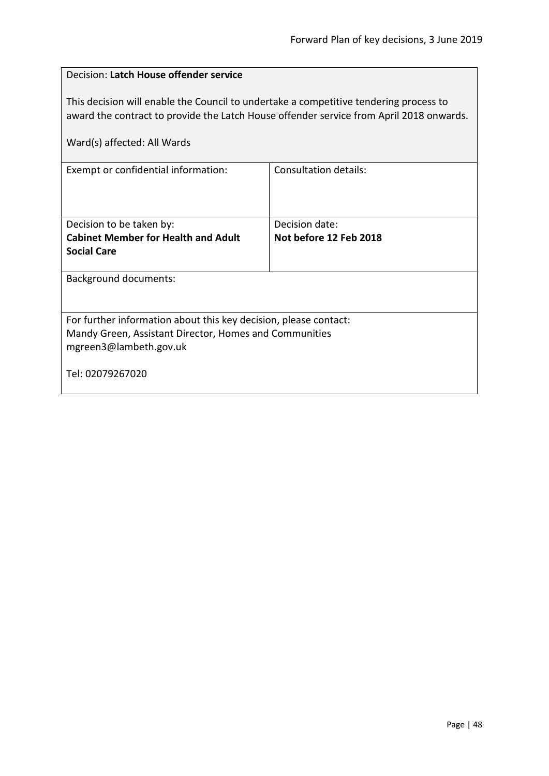| Decision: Latch House offender service                                                                                                                                                                          |                        |  |
|-----------------------------------------------------------------------------------------------------------------------------------------------------------------------------------------------------------------|------------------------|--|
| This decision will enable the Council to undertake a competitive tendering process to<br>award the contract to provide the Latch House offender service from April 2018 onwards.<br>Ward(s) affected: All Wards |                        |  |
| Exempt or confidential information:                                                                                                                                                                             | Consultation details:  |  |
|                                                                                                                                                                                                                 |                        |  |
| Decision to be taken by:                                                                                                                                                                                        | Decision date:         |  |
| <b>Cabinet Member for Health and Adult</b>                                                                                                                                                                      | Not before 12 Feb 2018 |  |
| <b>Social Care</b>                                                                                                                                                                                              |                        |  |
| <b>Background documents:</b>                                                                                                                                                                                    |                        |  |
|                                                                                                                                                                                                                 |                        |  |
| For further information about this key decision, please contact:                                                                                                                                                |                        |  |
| Mandy Green, Assistant Director, Homes and Communities                                                                                                                                                          |                        |  |
| mgreen3@lambeth.gov.uk                                                                                                                                                                                          |                        |  |
| Tel: 02079267020                                                                                                                                                                                                |                        |  |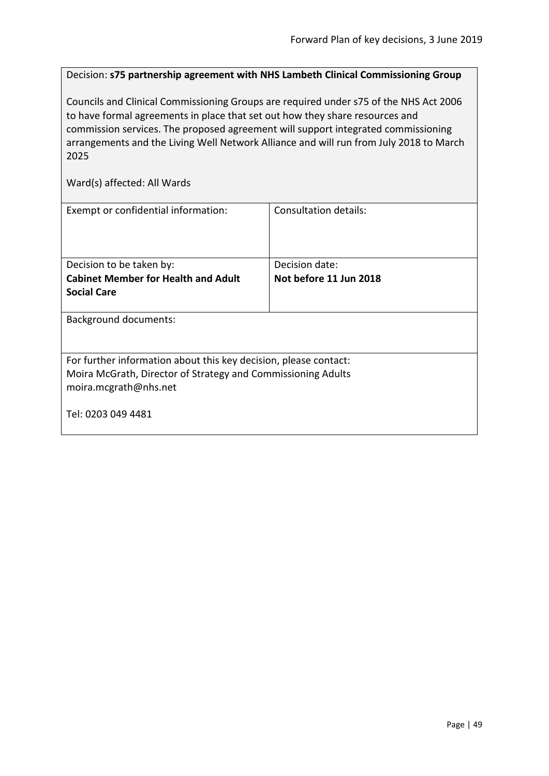Decision: **s75 partnership agreement with NHS Lambeth Clinical Commissioning Group**

Councils and Clinical Commissioning Groups are required under s75 of the NHS Act 2006 to have formal agreements in place that set out how they share resources and commission services. The proposed agreement will support integrated commissioning arrangements and the Living Well Network Alliance and will run from July 2018 to March 2025

| Exempt or confidential information:                              | Consultation details:  |  |
|------------------------------------------------------------------|------------------------|--|
| Decision to be taken by:                                         | Decision date:         |  |
| <b>Cabinet Member for Health and Adult</b>                       | Not before 11 Jun 2018 |  |
| <b>Social Care</b>                                               |                        |  |
| <b>Background documents:</b>                                     |                        |  |
| For further information about this key decision, please contact: |                        |  |
| Moira McGrath, Director of Strategy and Commissioning Adults     |                        |  |
| moira.mcgrath@nhs.net                                            |                        |  |
| Tel: 0203 049 4481                                               |                        |  |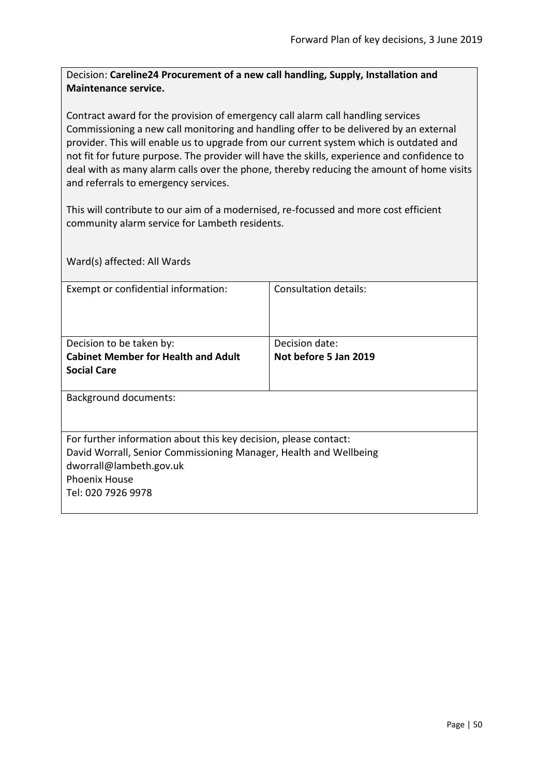Decision: **Careline24 Procurement of a new call handling, Supply, Installation and Maintenance service.**

Contract award for the provision of emergency call alarm call handling services Commissioning a new call monitoring and handling offer to be delivered by an external provider. This will enable us to upgrade from our current system which is outdated and not fit for future purpose. The provider will have the skills, experience and confidence to deal with as many alarm calls over the phone, thereby reducing the amount of home visits and referrals to emergency services.

This will contribute to our aim of a modernised, re-focussed and more cost efficient community alarm service for Lambeth residents.

Ward(s) affected: All Wards Exempt or confidential information: Consultation details: Decision to be taken by: **Cabinet Member for Health and Adult Social Care** Decision date: **Not before 5 Jan 2019** Background documents: For further information about this key decision, please contact: David Worrall, Senior Commissioning Manager, Health and Wellbeing dworrall@lambeth.gov.uk Phoenix House Tel: 020 7926 9978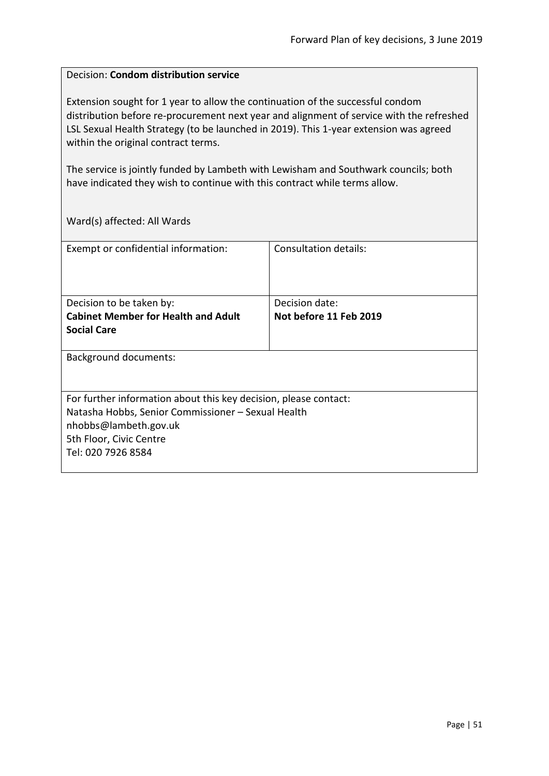### Decision: **Condom distribution service**

Extension sought for 1 year to allow the continuation of the successful condom distribution before re-procurement next year and alignment of service with the refreshed LSL Sexual Health Strategy (to be launched in 2019). This 1-year extension was agreed within the original contract terms.

The service is jointly funded by Lambeth with Lewisham and Southwark councils; both have indicated they wish to continue with this contract while terms allow.

| Exempt or confidential information:                              | Consultation details:  |
|------------------------------------------------------------------|------------------------|
|                                                                  | Decision date:         |
| Decision to be taken by:                                         |                        |
| <b>Cabinet Member for Health and Adult</b>                       | Not before 11 Feb 2019 |
| <b>Social Care</b>                                               |                        |
|                                                                  |                        |
| Background documents:                                            |                        |
| For further information about this key decision, please contact: |                        |
| Natasha Hobbs, Senior Commissioner - Sexual Health               |                        |
| nhobbs@lambeth.gov.uk                                            |                        |
| 5th Floor, Civic Centre                                          |                        |
| Tel: 020 7926 8584                                               |                        |
|                                                                  |                        |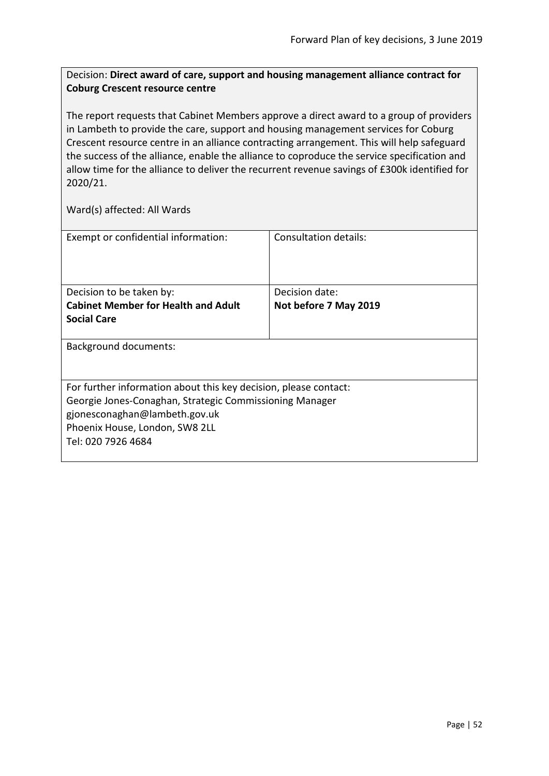# Decision: **Direct award of care, support and housing management alliance contract for Coburg Crescent resource centre**

The report requests that Cabinet Members approve a direct award to a group of providers in Lambeth to provide the care, support and housing management services for Coburg Crescent resource centre in an alliance contracting arrangement. This will help safeguard the success of the alliance, enable the alliance to coproduce the service specification and allow time for the alliance to deliver the recurrent revenue savings of £300k identified for 2020/21.

| Exempt or confidential information:                              | Consultation details: |
|------------------------------------------------------------------|-----------------------|
| Decision to be taken by:                                         | Decision date:        |
| <b>Cabinet Member for Health and Adult</b>                       | Not before 7 May 2019 |
|                                                                  |                       |
| <b>Social Care</b>                                               |                       |
|                                                                  |                       |
| Background documents:                                            |                       |
|                                                                  |                       |
| For further information about this key decision, please contact: |                       |
| Georgie Jones-Conaghan, Strategic Commissioning Manager          |                       |
| gjonesconaghan@lambeth.gov.uk                                    |                       |
|                                                                  |                       |
| Phoenix House, London, SW8 2LL                                   |                       |
| Tel: 020 7926 4684                                               |                       |
|                                                                  |                       |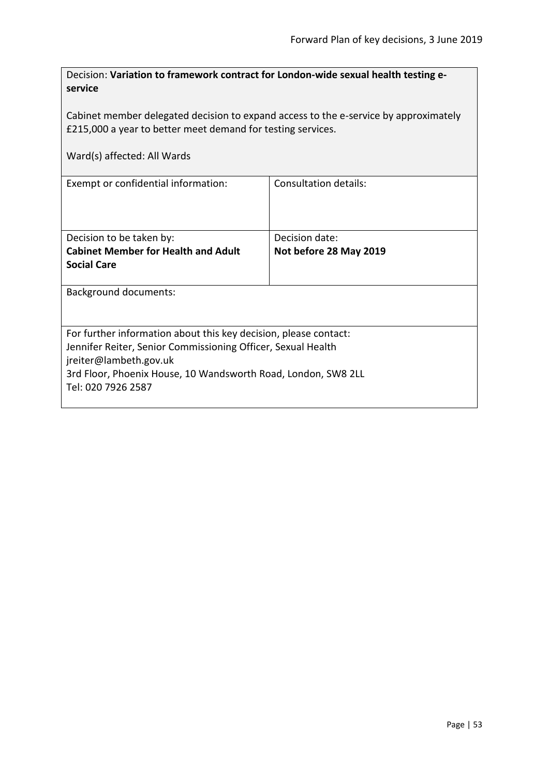| Decision: Variation to framework contract for London-wide sexual health testing e-<br>service                                                              |                        |  |
|------------------------------------------------------------------------------------------------------------------------------------------------------------|------------------------|--|
| Cabinet member delegated decision to expand access to the e-service by approximately<br>£215,000 a year to better meet demand for testing services.        |                        |  |
| Ward(s) affected: All Wards                                                                                                                                |                        |  |
| Exempt or confidential information:                                                                                                                        | Consultation details:  |  |
| Decision to be taken by:                                                                                                                                   | Decision date:         |  |
| <b>Cabinet Member for Health and Adult</b><br><b>Social Care</b>                                                                                           | Not before 28 May 2019 |  |
| <b>Background documents:</b>                                                                                                                               |                        |  |
| For further information about this key decision, please contact:<br>Jennifer Reiter, Senior Commissioning Officer, Sexual Health<br>jreiter@lambeth.gov.uk |                        |  |
| 3rd Floor, Phoenix House, 10 Wandsworth Road, London, SW8 2LL<br>Tel: 020 7926 2587                                                                        |                        |  |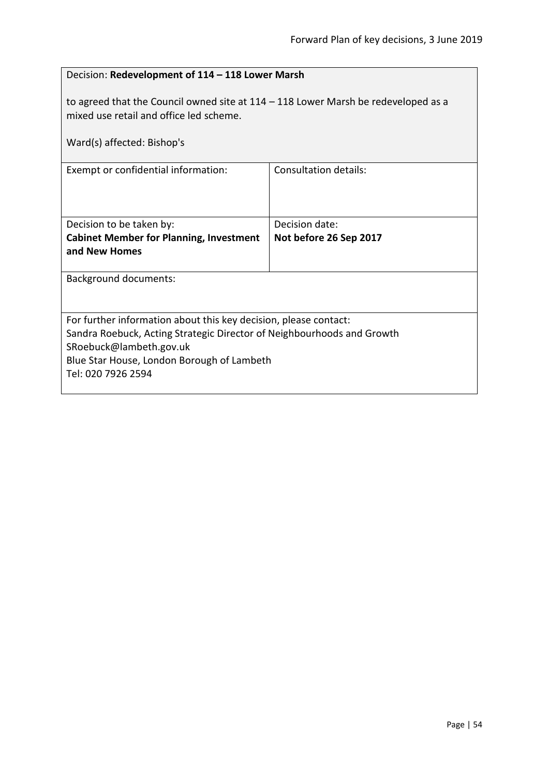| Decision: Redevelopment of 114 - 118 Lower Marsh                                                                                                                                                                                          |                        |  |
|-------------------------------------------------------------------------------------------------------------------------------------------------------------------------------------------------------------------------------------------|------------------------|--|
| to agreed that the Council owned site at $114 - 118$ Lower Marsh be redeveloped as a<br>mixed use retail and office led scheme.<br>Ward(s) affected: Bishop's                                                                             |                        |  |
| Exempt or confidential information:                                                                                                                                                                                                       | Consultation details:  |  |
|                                                                                                                                                                                                                                           |                        |  |
| Decision to be taken by:                                                                                                                                                                                                                  | Decision date:         |  |
| <b>Cabinet Member for Planning, Investment</b><br>and New Homes                                                                                                                                                                           | Not before 26 Sep 2017 |  |
| <b>Background documents:</b>                                                                                                                                                                                                              |                        |  |
| For further information about this key decision, please contact:<br>Sandra Roebuck, Acting Strategic Director of Neighbourhoods and Growth<br>SRoebuck@lambeth.gov.uk<br>Blue Star House, London Borough of Lambeth<br>Tel: 020 7926 2594 |                        |  |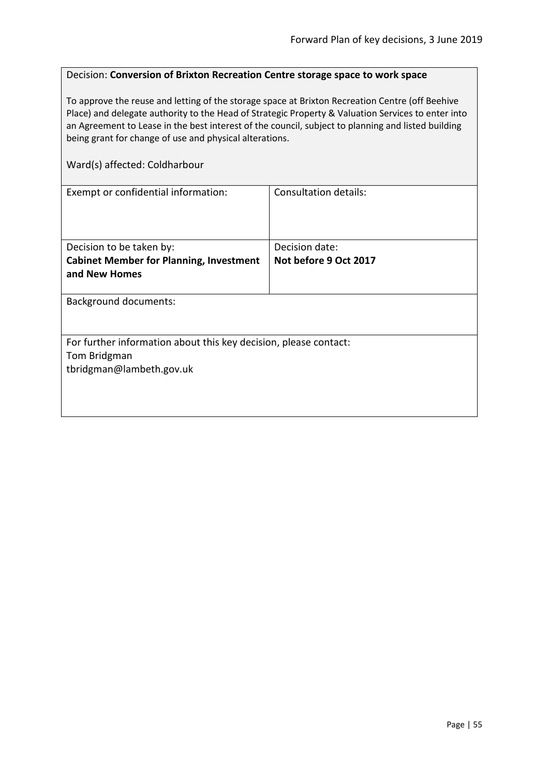## Decision: **Conversion of Brixton Recreation Centre storage space to work space**

To approve the reuse and letting of the storage space at Brixton Recreation Centre (off Beehive Place) and delegate authority to the Head of Strategic Property & Valuation Services to enter into an Agreement to Lease in the best interest of the council, subject to planning and listed building being grant for change of use and physical alterations.

Ward(s) affected: Coldharbour

| Exempt or confidential information:                              | Consultation details: |  |
|------------------------------------------------------------------|-----------------------|--|
|                                                                  |                       |  |
|                                                                  |                       |  |
|                                                                  |                       |  |
| Decision to be taken by:                                         | Decision date:        |  |
|                                                                  |                       |  |
| <b>Cabinet Member for Planning, Investment</b>                   | Not before 9 Oct 2017 |  |
| and New Homes                                                    |                       |  |
|                                                                  |                       |  |
| <b>Background documents:</b>                                     |                       |  |
|                                                                  |                       |  |
|                                                                  |                       |  |
| For further information about this key decision, please contact: |                       |  |
| Tom Bridgman                                                     |                       |  |
|                                                                  |                       |  |
| tbridgman@lambeth.gov.uk                                         |                       |  |
|                                                                  |                       |  |
|                                                                  |                       |  |
|                                                                  |                       |  |
|                                                                  |                       |  |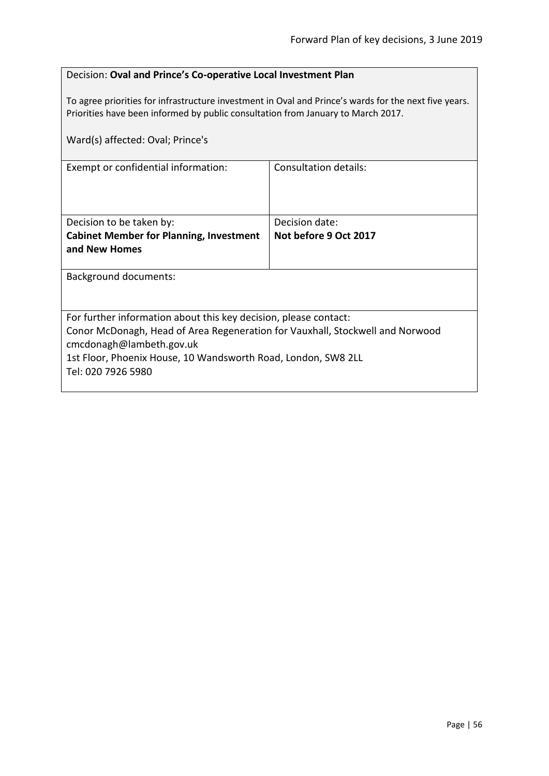# Decision: **Oval and Prince's Co-operative Local Investment Plan**

To agree priorities for infrastructure investment in Oval and Prince's wards for the next five years. Priorities have been informed by public consultation from January to March 2017.

| Ward(s) affected: Oval; Prince's                                                                          |                       |  |
|-----------------------------------------------------------------------------------------------------------|-----------------------|--|
| Exempt or confidential information:                                                                       | Consultation details: |  |
| Decision to be taken by:                                                                                  | Decision date:        |  |
| <b>Cabinet Member for Planning, Investment</b>                                                            | Not before 9 Oct 2017 |  |
| and New Homes                                                                                             |                       |  |
| Background documents:                                                                                     |                       |  |
| For further information about this key decision, please contact:                                          |                       |  |
| Conor McDonagh, Head of Area Regeneration for Vauxhall, Stockwell and Norwood<br>cmcdonagh@lambeth.gov.uk |                       |  |
| 1st Floor, Phoenix House, 10 Wandsworth Road, London, SW8 2LL                                             |                       |  |
| Tel: 020 7926 5980                                                                                        |                       |  |
|                                                                                                           |                       |  |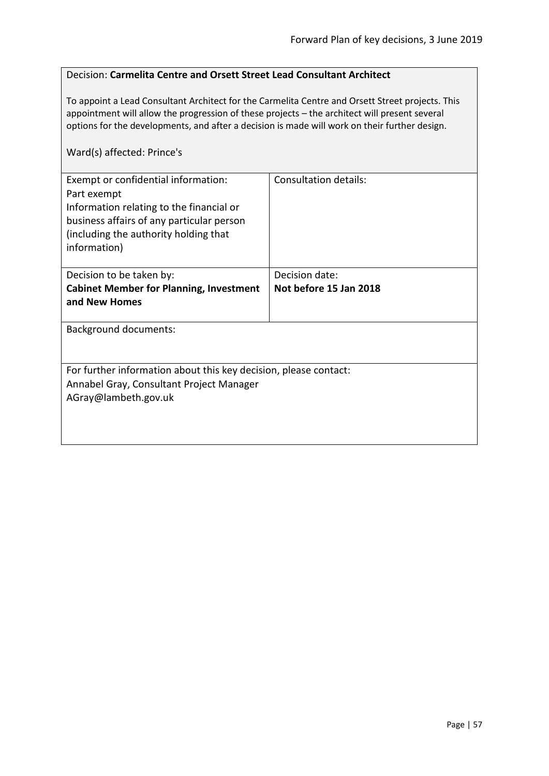### Decision: **Carmelita Centre and Orsett Street Lead Consultant Architect**

To appoint a Lead Consultant Architect for the Carmelita Centre and Orsett Street projects. This appointment will allow the progression of these projects – the architect will present several options for the developments, and after a decision is made will work on their further design.

## Ward(s) affected: Prince's

| Exempt or confidential information:<br>Part exempt<br>Information relating to the financial or<br>business affairs of any particular person<br>(including the authority holding that<br>information) | Consultation details:  |
|------------------------------------------------------------------------------------------------------------------------------------------------------------------------------------------------------|------------------------|
| Decision to be taken by:                                                                                                                                                                             | Decision date:         |
| <b>Cabinet Member for Planning, Investment</b><br>and New Homes                                                                                                                                      | Not before 15 Jan 2018 |
| Background documents:                                                                                                                                                                                |                        |
| For further information about this key decision, please contact:<br>Annabel Gray, Consultant Project Manager<br>AGray@lambeth.gov.uk                                                                 |                        |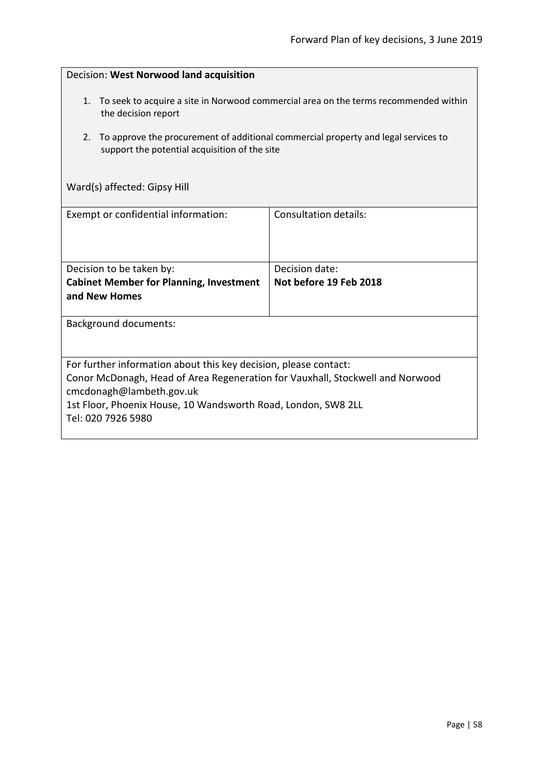| Decision: West Norwood land acquisition                                                                                                                                                                                                                              |                                          |  |
|----------------------------------------------------------------------------------------------------------------------------------------------------------------------------------------------------------------------------------------------------------------------|------------------------------------------|--|
| To seek to acquire a site in Norwood commercial area on the terms recommended within<br>1.<br>the decision report<br>To approve the procurement of additional commercial property and legal services to<br>2.<br>support the potential acquisition of the site       |                                          |  |
| Ward(s) affected: Gipsy Hill                                                                                                                                                                                                                                         |                                          |  |
| Exempt or confidential information:                                                                                                                                                                                                                                  | <b>Consultation details:</b>             |  |
| Decision to be taken by:<br><b>Cabinet Member for Planning, Investment</b><br>and New Homes                                                                                                                                                                          | Decision date:<br>Not before 19 Feb 2018 |  |
| <b>Background documents:</b>                                                                                                                                                                                                                                         |                                          |  |
| For further information about this key decision, please contact:<br>Conor McDonagh, Head of Area Regeneration for Vauxhall, Stockwell and Norwood<br>cmcdonagh@lambeth.gov.uk<br>1st Floor, Phoenix House, 10 Wandsworth Road, London, SW8 2LL<br>Tel: 020 7926 5980 |                                          |  |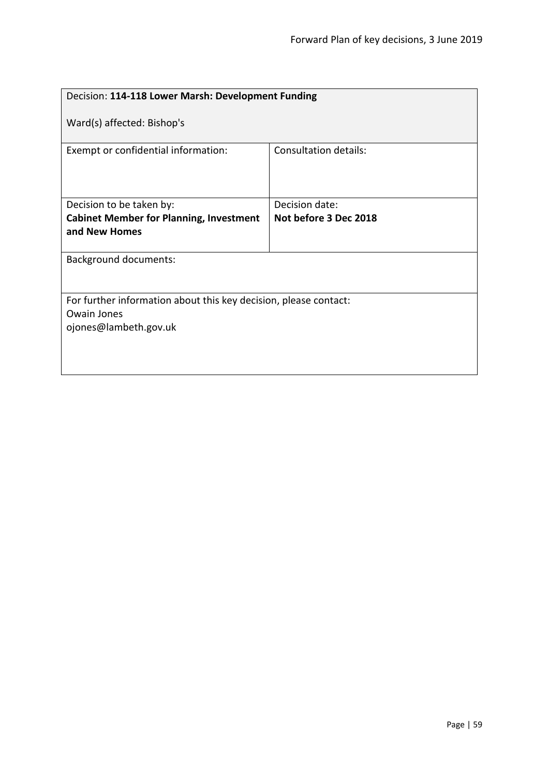| Decision: 114-118 Lower Marsh: Development Funding               |                       |  |
|------------------------------------------------------------------|-----------------------|--|
| Ward(s) affected: Bishop's                                       |                       |  |
| Exempt or confidential information:                              | Consultation details: |  |
| Decision to be taken by:                                         | Decision date:        |  |
| <b>Cabinet Member for Planning, Investment</b>                   | Not before 3 Dec 2018 |  |
| and New Homes                                                    |                       |  |
|                                                                  |                       |  |
| <b>Background documents:</b>                                     |                       |  |
| For further information about this key decision, please contact: |                       |  |
| <b>Owain Jones</b>                                               |                       |  |
| ojones@lambeth.gov.uk                                            |                       |  |
|                                                                  |                       |  |
|                                                                  |                       |  |
|                                                                  |                       |  |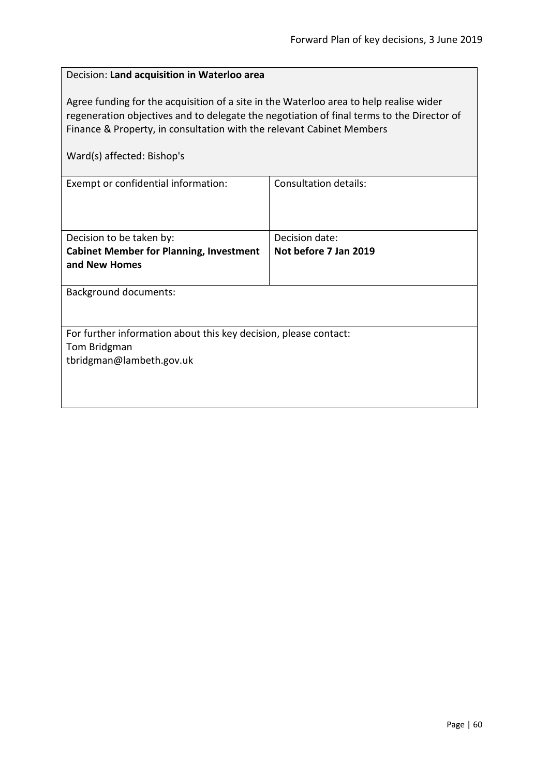| Decision: Land acquisition in Waterloo area                                                                                                                                                                                                                                                |                       |  |
|--------------------------------------------------------------------------------------------------------------------------------------------------------------------------------------------------------------------------------------------------------------------------------------------|-----------------------|--|
| Agree funding for the acquisition of a site in the Waterloo area to help realise wider<br>regeneration objectives and to delegate the negotiation of final terms to the Director of<br>Finance & Property, in consultation with the relevant Cabinet Members<br>Ward(s) affected: Bishop's |                       |  |
| <b>Consultation details:</b><br>Exempt or confidential information:                                                                                                                                                                                                                        |                       |  |
|                                                                                                                                                                                                                                                                                            |                       |  |
| Decision to be taken by:                                                                                                                                                                                                                                                                   | Decision date:        |  |
| <b>Cabinet Member for Planning, Investment</b><br>and New Homes                                                                                                                                                                                                                            | Not before 7 Jan 2019 |  |
| <b>Background documents:</b>                                                                                                                                                                                                                                                               |                       |  |
|                                                                                                                                                                                                                                                                                            |                       |  |
| For further information about this key decision, please contact:                                                                                                                                                                                                                           |                       |  |
| Tom Bridgman                                                                                                                                                                                                                                                                               |                       |  |
| tbridgman@lambeth.gov.uk                                                                                                                                                                                                                                                                   |                       |  |
|                                                                                                                                                                                                                                                                                            |                       |  |
|                                                                                                                                                                                                                                                                                            |                       |  |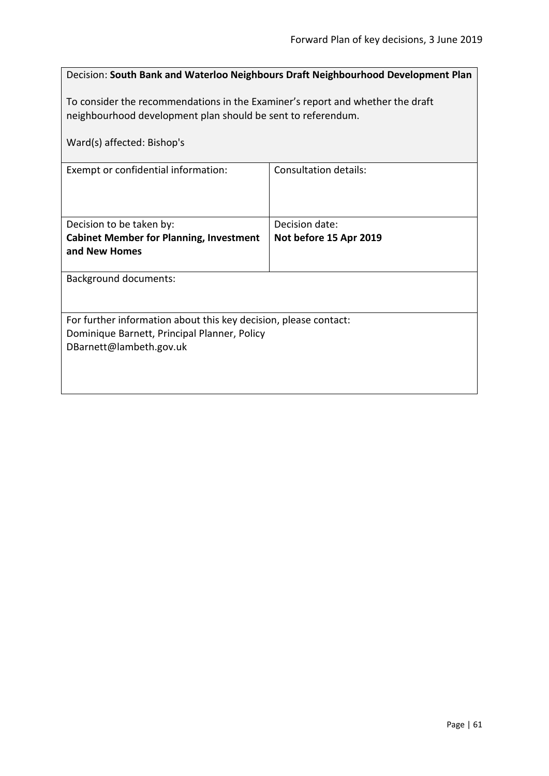|                                                                                                                                                | Decision: South Bank and Waterloo Neighbours Draft Neighbourhood Development Plan |  |
|------------------------------------------------------------------------------------------------------------------------------------------------|-----------------------------------------------------------------------------------|--|
| To consider the recommendations in the Examiner's report and whether the draft<br>neighbourhood development plan should be sent to referendum. |                                                                                   |  |
| Ward(s) affected: Bishop's                                                                                                                     |                                                                                   |  |
| Exempt or confidential information:                                                                                                            | Consultation details:                                                             |  |
|                                                                                                                                                |                                                                                   |  |
| Decision to be taken by:<br><b>Cabinet Member for Planning, Investment</b>                                                                     | Decision date:<br>Not before 15 Apr 2019                                          |  |
| and New Homes                                                                                                                                  |                                                                                   |  |
| <b>Background documents:</b>                                                                                                                   |                                                                                   |  |
|                                                                                                                                                |                                                                                   |  |
| For further information about this key decision, please contact:<br>Dominique Barnett, Principal Planner, Policy                               |                                                                                   |  |
| DBarnett@lambeth.gov.uk                                                                                                                        |                                                                                   |  |
|                                                                                                                                                |                                                                                   |  |
|                                                                                                                                                |                                                                                   |  |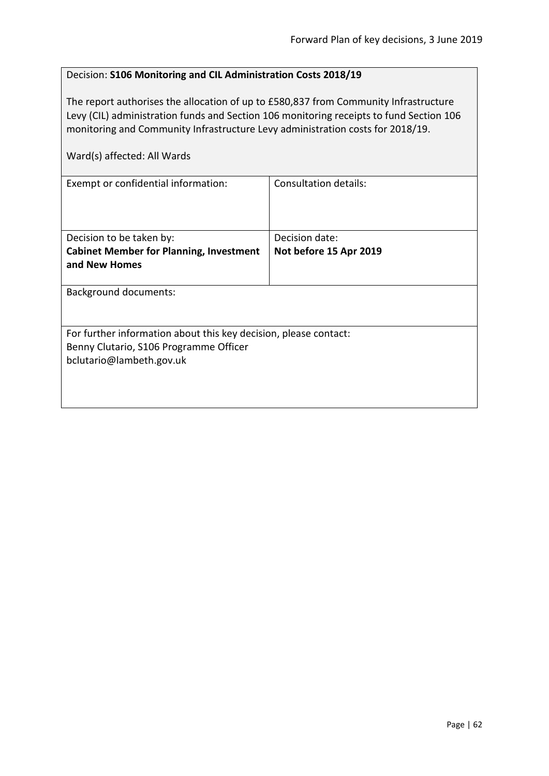# Decision: **S106 Monitoring and CIL Administration Costs 2018/19**

The report authorises the allocation of up to £580,837 from Community Infrastructure Levy (CIL) administration funds and Section 106 monitoring receipts to fund Section 106 monitoring and Community Infrastructure Levy administration costs for 2018/19.

| Ward(s) affected: All Wards                                                                                                            |                                          |
|----------------------------------------------------------------------------------------------------------------------------------------|------------------------------------------|
| Exempt or confidential information:                                                                                                    | <b>Consultation details:</b>             |
| Decision to be taken by:<br><b>Cabinet Member for Planning, Investment</b><br>and New Homes                                            | Decision date:<br>Not before 15 Apr 2019 |
| Background documents:                                                                                                                  |                                          |
| For further information about this key decision, please contact:<br>Benny Clutario, S106 Programme Officer<br>bclutario@lambeth.gov.uk |                                          |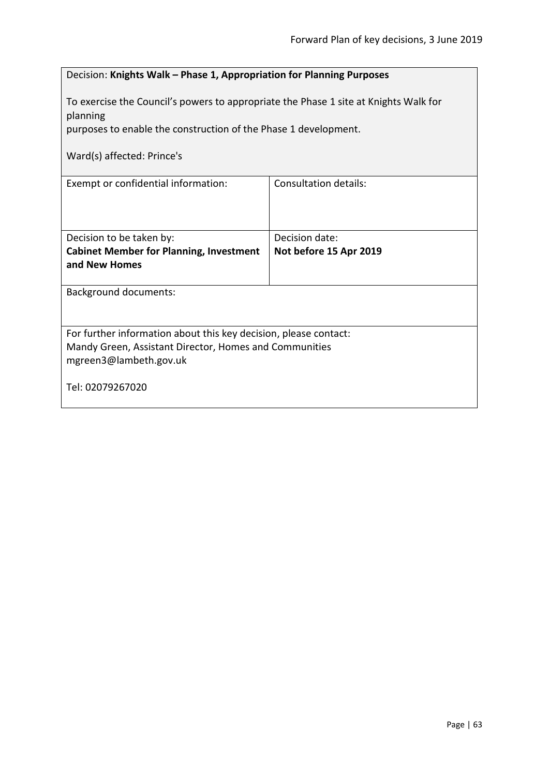| Decision: Knights Walk - Phase 1, Appropriation for Planning Purposes                                                                                |                        |  |
|------------------------------------------------------------------------------------------------------------------------------------------------------|------------------------|--|
| To exercise the Council's powers to appropriate the Phase 1 site at Knights Walk for<br>planning                                                     |                        |  |
| purposes to enable the construction of the Phase 1 development.                                                                                      |                        |  |
| Ward(s) affected: Prince's                                                                                                                           |                        |  |
| <b>Consultation details:</b><br>Exempt or confidential information:                                                                                  |                        |  |
| Decision to be taken by:                                                                                                                             | Decision date:         |  |
| <b>Cabinet Member for Planning, Investment</b><br>and New Homes                                                                                      | Not before 15 Apr 2019 |  |
| <b>Background documents:</b>                                                                                                                         |                        |  |
| For further information about this key decision, please contact:<br>Mandy Green, Assistant Director, Homes and Communities<br>mgreen3@lambeth.gov.uk |                        |  |
| Tel: 02079267020                                                                                                                                     |                        |  |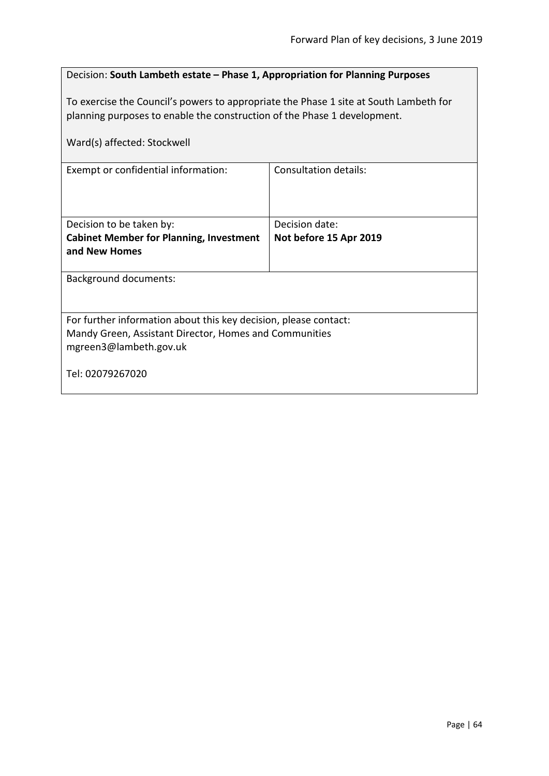# Decision: **South Lambeth estate – Phase 1, Appropriation for Planning Purposes**

To exercise the Council's powers to appropriate the Phase 1 site at South Lambeth for planning purposes to enable the construction of the Phase 1 development.

| Ward(s) affected: Stockwell                                                                                                                          |                        |  |
|------------------------------------------------------------------------------------------------------------------------------------------------------|------------------------|--|
| Exempt or confidential information:                                                                                                                  | Consultation details:  |  |
| Decision to be taken by:                                                                                                                             | Decision date:         |  |
| <b>Cabinet Member for Planning, Investment</b>                                                                                                       | Not before 15 Apr 2019 |  |
| and New Homes                                                                                                                                        |                        |  |
| <b>Background documents:</b>                                                                                                                         |                        |  |
| For further information about this key decision, please contact:<br>Mandy Green, Assistant Director, Homes and Communities<br>mgreen3@lambeth.gov.uk |                        |  |
| Tel: 02079267020                                                                                                                                     |                        |  |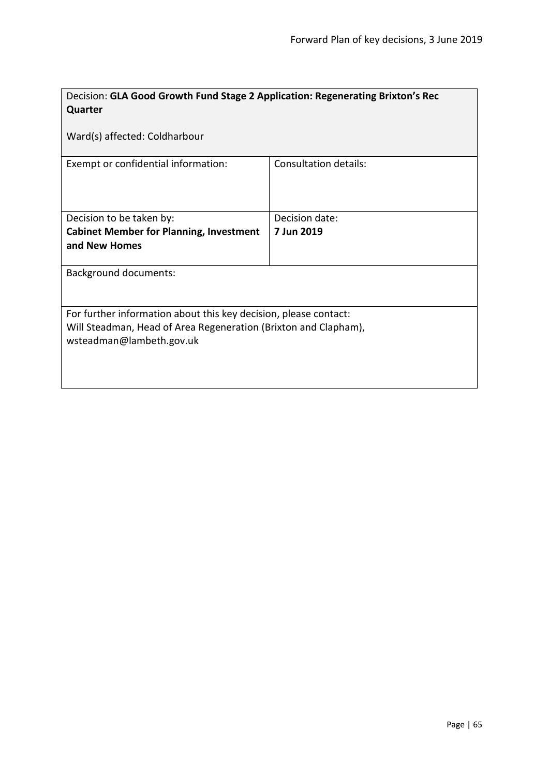| Decision: GLA Good Growth Fund Stage 2 Application: Regenerating Brixton's Rec              |                              |  |
|---------------------------------------------------------------------------------------------|------------------------------|--|
| Quarter                                                                                     |                              |  |
| Ward(s) affected: Coldharbour                                                               |                              |  |
| Exempt or confidential information:                                                         | <b>Consultation details:</b> |  |
| Decision to be taken by:                                                                    | Decision date:               |  |
| <b>Cabinet Member for Planning, Investment</b>                                              | 7 Jun 2019                   |  |
| and New Homes                                                                               |                              |  |
| <b>Background documents:</b>                                                                |                              |  |
| For further information about this key decision, please contact:                            |                              |  |
| Will Steadman, Head of Area Regeneration (Brixton and Clapham),<br>wsteadman@lambeth.gov.uk |                              |  |
|                                                                                             |                              |  |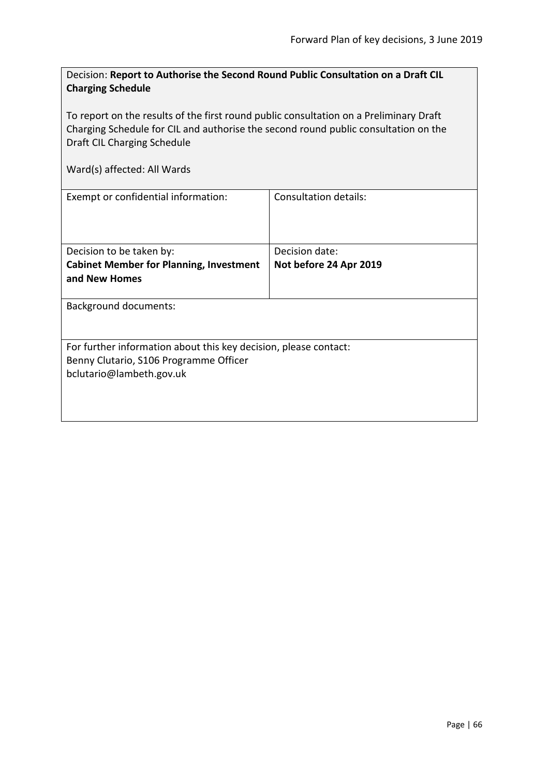| Decision: Report to Authorise the Second Round Public Consultation on a Draft CIL |  |
|-----------------------------------------------------------------------------------|--|
| <b>Charging Schedule</b>                                                          |  |

To report on the results of the first round public consultation on a Preliminary Draft Charging Schedule for CIL and authorise the second round public consultation on the Draft CIL Charging Schedule

| Exempt or confidential information:                              | Consultation details:  |
|------------------------------------------------------------------|------------------------|
| Decision to be taken by:                                         | Decision date:         |
| <b>Cabinet Member for Planning, Investment</b>                   | Not before 24 Apr 2019 |
| and New Homes                                                    |                        |
| <b>Background documents:</b>                                     |                        |
| For further information about this key decision, please contact: |                        |
| Benny Clutario, S106 Programme Officer                           |                        |
| bclutario@lambeth.gov.uk                                         |                        |
|                                                                  |                        |
|                                                                  |                        |
|                                                                  |                        |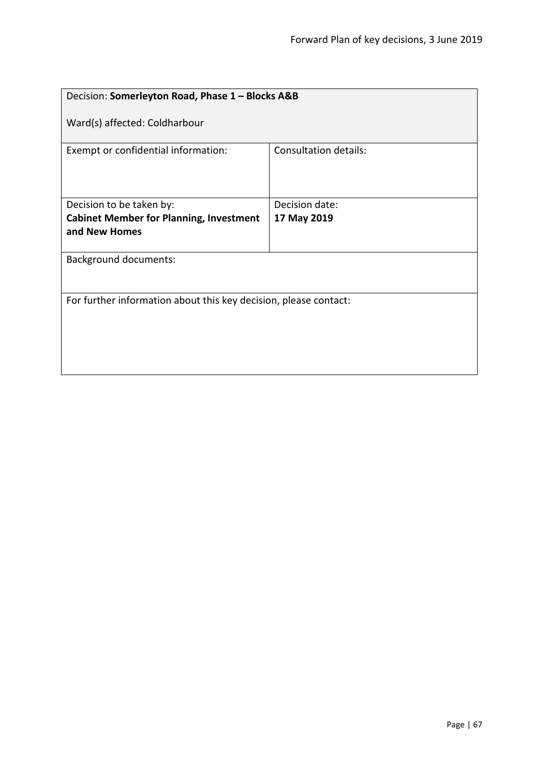| Decision: Somerleyton Road, Phase 1 - Blocks A&B                 |                       |  |
|------------------------------------------------------------------|-----------------------|--|
| Ward(s) affected: Coldharbour                                    |                       |  |
| Exempt or confidential information:                              | Consultation details: |  |
| Decision to be taken by:                                         | Decision date:        |  |
| <b>Cabinet Member for Planning, Investment</b>                   | 17 May 2019           |  |
| and New Homes                                                    |                       |  |
| <b>Background documents:</b>                                     |                       |  |
| For further information about this key decision, please contact: |                       |  |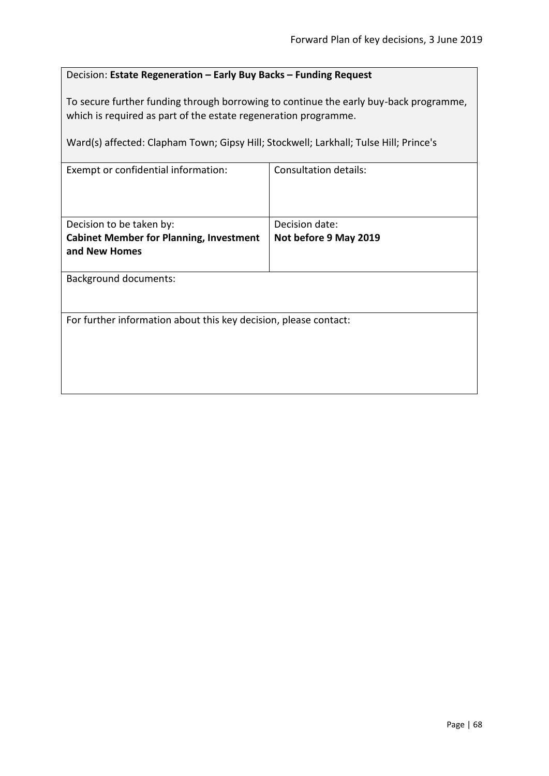# Decision: **Estate Regeneration – Early Buy Backs – Funding Request**

To secure further funding through borrowing to continue the early buy-back programme, which is required as part of the estate regeneration programme.

Ward(s) affected: Clapham Town; Gipsy Hill; Stockwell; Larkhall; Tulse Hill; Prince's

| Exempt or confidential information:                              | <b>Consultation details:</b> |  |
|------------------------------------------------------------------|------------------------------|--|
| Decision to be taken by:                                         | Decision date:               |  |
| <b>Cabinet Member for Planning, Investment</b><br>and New Homes  | Not before 9 May 2019        |  |
|                                                                  |                              |  |
| <b>Background documents:</b>                                     |                              |  |
|                                                                  |                              |  |
| For further information about this key decision, please contact: |                              |  |
|                                                                  |                              |  |
|                                                                  |                              |  |
|                                                                  |                              |  |
|                                                                  |                              |  |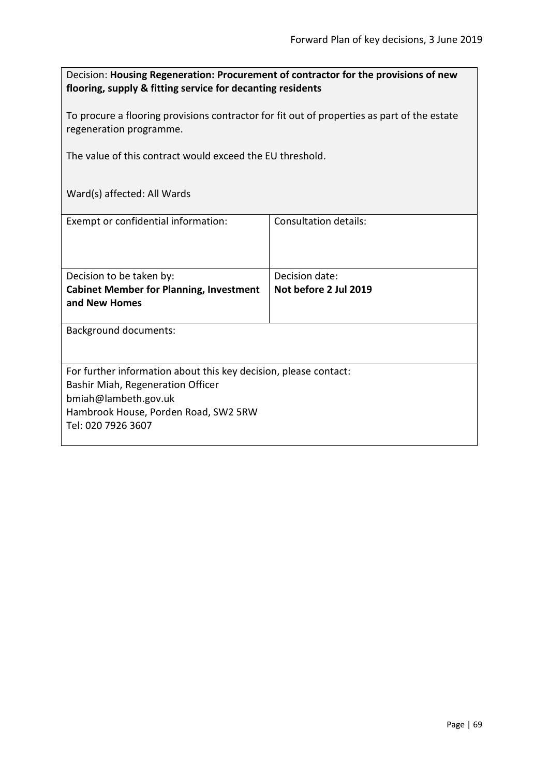Decision: **Housing Regeneration: Procurement of contractor for the provisions of new flooring, supply & fitting service for decanting residents**

To procure a flooring provisions contractor for fit out of properties as part of the estate regeneration programme.

The value of this contract would exceed the EU threshold.

| Exempt or confidential information:                                                                                                                                                         | Consultation details:                   |
|---------------------------------------------------------------------------------------------------------------------------------------------------------------------------------------------|-----------------------------------------|
| Decision to be taken by:<br><b>Cabinet Member for Planning, Investment</b><br>and New Homes                                                                                                 | Decision date:<br>Not before 2 Jul 2019 |
| <b>Background documents:</b>                                                                                                                                                                |                                         |
| For further information about this key decision, please contact:<br>Bashir Miah, Regeneration Officer<br>bmiah@lambeth.gov.uk<br>Hambrook House, Porden Road, SW2 5RW<br>Tel: 020 7926 3607 |                                         |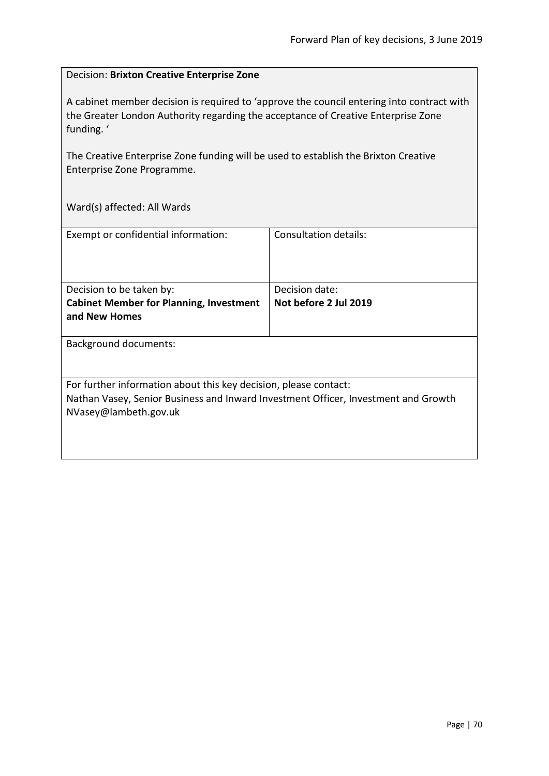#### Decision: **Brixton Creative Enterprise Zone**

A cabinet member decision is required to 'approve the council entering into contract with the Greater London Authority regarding the acceptance of Creative Enterprise Zone funding. '

The Creative Enterprise Zone funding will be used to establish the Brixton Creative Enterprise Zone Programme.

| Exempt or confidential information:                                                | Consultation details: |
|------------------------------------------------------------------------------------|-----------------------|
|                                                                                    |                       |
|                                                                                    |                       |
|                                                                                    |                       |
| Decision to be taken by:                                                           | Decision date:        |
| <b>Cabinet Member for Planning, Investment</b>                                     | Not before 2 Jul 2019 |
| and New Homes                                                                      |                       |
|                                                                                    |                       |
| <b>Background documents:</b>                                                       |                       |
|                                                                                    |                       |
|                                                                                    |                       |
| For further information about this key decision, please contact:                   |                       |
| Nathan Vasey, Senior Business and Inward Investment Officer, Investment and Growth |                       |
| NVasey@lambeth.gov.uk                                                              |                       |
|                                                                                    |                       |
|                                                                                    |                       |
|                                                                                    |                       |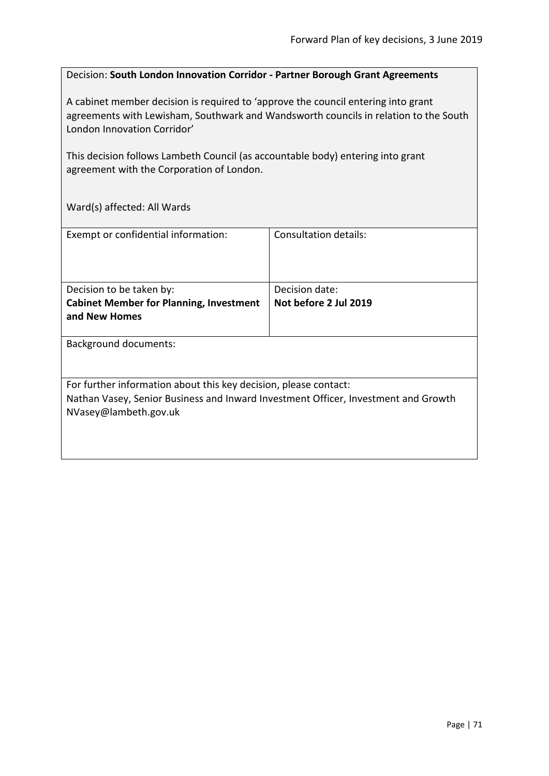### Decision: **South London Innovation Corridor - Partner Borough Grant Agreements**

A cabinet member decision is required to 'approve the council entering into grant agreements with Lewisham, Southwark and Wandsworth councils in relation to the South London Innovation Corridor'

This decision follows Lambeth Council (as accountable body) entering into grant agreement with the Corporation of London.

| Exempt or confidential information:                                                                                                                                             | Consultation details:                   |
|---------------------------------------------------------------------------------------------------------------------------------------------------------------------------------|-----------------------------------------|
| Decision to be taken by:<br><b>Cabinet Member for Planning, Investment</b><br>and New Homes                                                                                     | Decision date:<br>Not before 2 Jul 2019 |
| <b>Background documents:</b>                                                                                                                                                    |                                         |
| For further information about this key decision, please contact:<br>Nathan Vasey, Senior Business and Inward Investment Officer, Investment and Growth<br>NVasey@lambeth.gov.uk |                                         |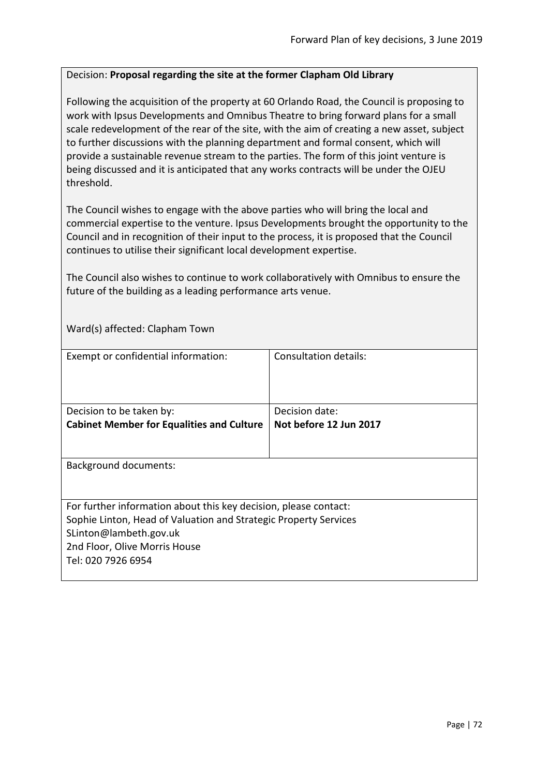## Decision: **Proposal regarding the site at the former Clapham Old Library**

Following the acquisition of the property at 60 Orlando Road, the Council is proposing to work with Ipsus Developments and Omnibus Theatre to bring forward plans for a small scale redevelopment of the rear of the site, with the aim of creating a new asset, subject to further discussions with the planning department and formal consent, which will provide a sustainable revenue stream to the parties. The form of this joint venture is being discussed and it is anticipated that any works contracts will be under the OJEU threshold.

The Council wishes to engage with the above parties who will bring the local and commercial expertise to the venture. Ipsus Developments brought the opportunity to the Council and in recognition of their input to the process, it is proposed that the Council continues to utilise their significant local development expertise.

The Council also wishes to continue to work collaboratively with Omnibus to ensure the future of the building as a leading performance arts venue.

Ward(s) affected: Clapham Town

| Exempt or confidential information:                              | Consultation details:  |
|------------------------------------------------------------------|------------------------|
|                                                                  |                        |
|                                                                  |                        |
|                                                                  |                        |
|                                                                  |                        |
| Decision to be taken by:                                         | Decision date:         |
| <b>Cabinet Member for Equalities and Culture</b>                 | Not before 12 Jun 2017 |
|                                                                  |                        |
|                                                                  |                        |
|                                                                  |                        |
| <b>Background documents:</b>                                     |                        |
|                                                                  |                        |
|                                                                  |                        |
| For further information about this key decision, please contact: |                        |
| Sophie Linton, Head of Valuation and Strategic Property Services |                        |
| SLinton@lambeth.gov.uk                                           |                        |
|                                                                  |                        |
| 2nd Floor, Olive Morris House                                    |                        |
| Tel: 020 7926 6954                                               |                        |
|                                                                  |                        |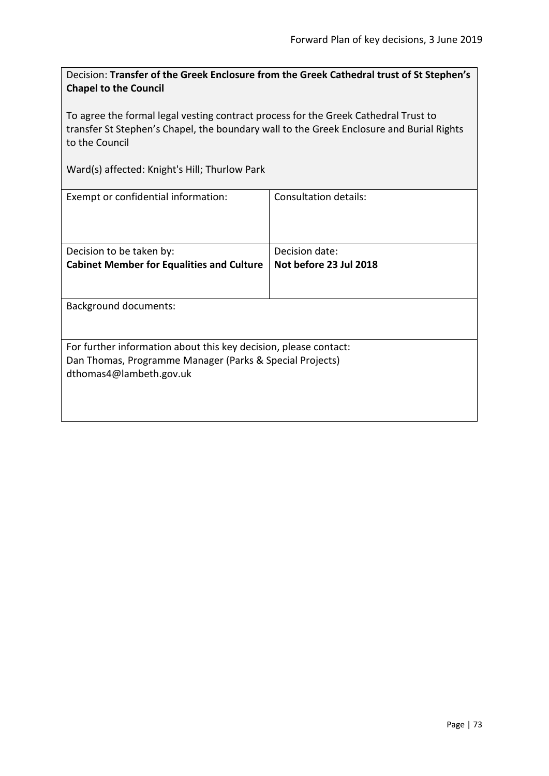Decision: **Transfer of the Greek Enclosure from the Greek Cathedral trust of St Stephen's Chapel to the Council**

To agree the formal legal vesting contract process for the Greek Cathedral Trust to transfer St Stephen's Chapel, the boundary wall to the Greek Enclosure and Burial Rights to the Council

Ward(s) affected: Knight's Hill; Thurlow Park

| Exempt or confidential information:                              | Consultation details:  |  |
|------------------------------------------------------------------|------------------------|--|
|                                                                  | Decision date:         |  |
| Decision to be taken by:                                         |                        |  |
| <b>Cabinet Member for Equalities and Culture</b>                 | Not before 23 Jul 2018 |  |
|                                                                  |                        |  |
| <b>Background documents:</b>                                     |                        |  |
| For further information about this key decision, please contact: |                        |  |
| Dan Thomas, Programme Manager (Parks & Special Projects)         |                        |  |
|                                                                  |                        |  |
| dthomas4@lambeth.gov.uk                                          |                        |  |
|                                                                  |                        |  |
|                                                                  |                        |  |
|                                                                  |                        |  |
|                                                                  |                        |  |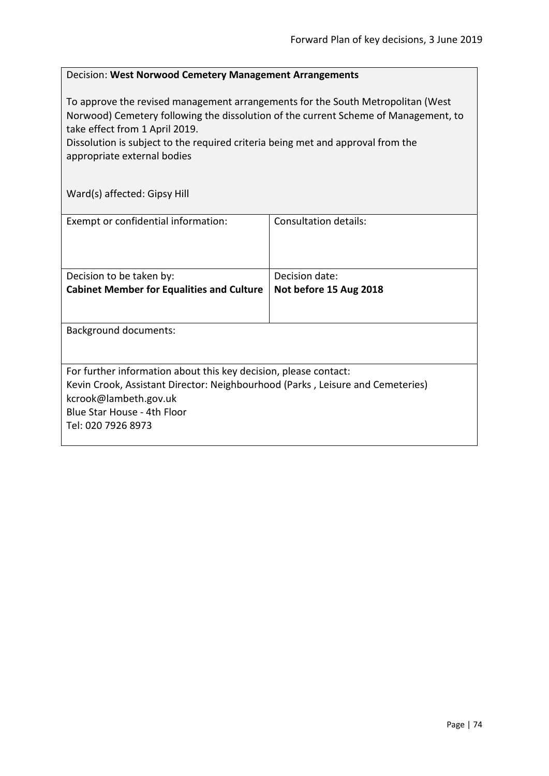## Decision: **West Norwood Cemetery Management Arrangements**

To approve the revised management arrangements for the South Metropolitan (West Norwood) Cemetery following the dissolution of the current Scheme of Management, to take effect from 1 April 2019.

Dissolution is subject to the required criteria being met and approval from the appropriate external bodies

Ward(s) affected: Gipsy Hill

| Exempt or confidential information:                                            | Consultation details:  |
|--------------------------------------------------------------------------------|------------------------|
|                                                                                |                        |
| Decision to be taken by:                                                       | Decision date:         |
| <b>Cabinet Member for Equalities and Culture</b>                               | Not before 15 Aug 2018 |
|                                                                                |                        |
| <b>Background documents:</b>                                                   |                        |
| For further information about this key decision, please contact:               |                        |
| Kevin Crook, Assistant Director: Neighbourhood (Parks, Leisure and Cemeteries) |                        |
| kcrook@lambeth.gov.uk                                                          |                        |
| Blue Star House - 4th Floor                                                    |                        |
| Tel: 020 7926 8973                                                             |                        |
|                                                                                |                        |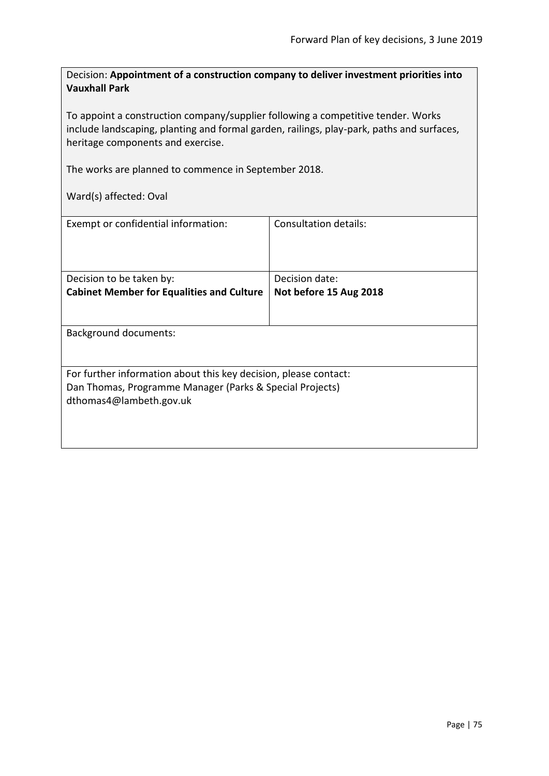Decision: **Appointment of a construction company to deliver investment priorities into Vauxhall Park**

To appoint a construction company/supplier following a competitive tender. Works include landscaping, planting and formal garden, railings, play-park, paths and surfaces, heritage components and exercise.

The works are planned to commence in September 2018.

Ward(s) affected: Oval

| Exempt or confidential information:                              | Consultation details:  |  |
|------------------------------------------------------------------|------------------------|--|
| Decision to be taken by:                                         | Decision date:         |  |
| <b>Cabinet Member for Equalities and Culture</b>                 | Not before 15 Aug 2018 |  |
|                                                                  |                        |  |
| <b>Background documents:</b>                                     |                        |  |
|                                                                  |                        |  |
| For further information about this key decision, please contact: |                        |  |
| Dan Thomas, Programme Manager (Parks & Special Projects)         |                        |  |
| dthomas4@lambeth.gov.uk                                          |                        |  |
|                                                                  |                        |  |
|                                                                  |                        |  |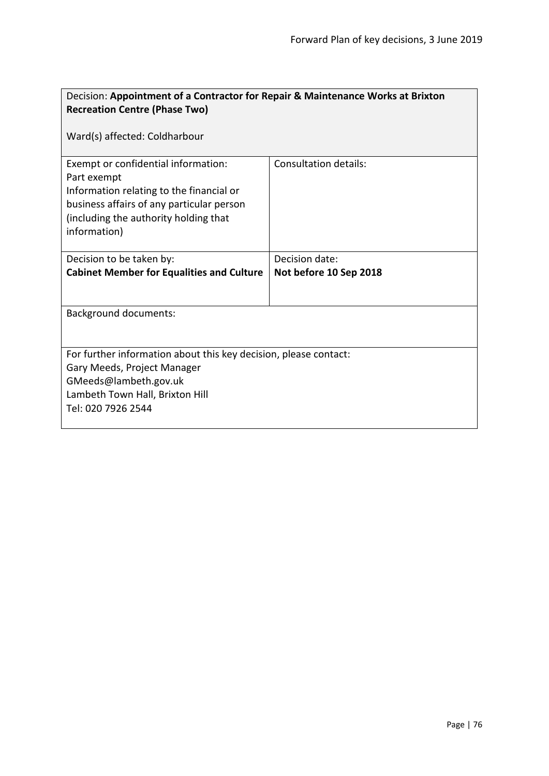| Decision: Appointment of a Contractor for Repair & Maintenance Works at Brixton<br><b>Recreation Centre (Phase Two)</b>                                                                              |                              |  |
|------------------------------------------------------------------------------------------------------------------------------------------------------------------------------------------------------|------------------------------|--|
| Ward(s) affected: Coldharbour                                                                                                                                                                        |                              |  |
| Exempt or confidential information:<br>Part exempt<br>Information relating to the financial or<br>business affairs of any particular person<br>(including the authority holding that<br>information) | <b>Consultation details:</b> |  |
| Decision to be taken by:                                                                                                                                                                             | Decision date:               |  |
| <b>Cabinet Member for Equalities and Culture</b>                                                                                                                                                     | Not before 10 Sep 2018       |  |
| <b>Background documents:</b>                                                                                                                                                                         |                              |  |
| For further information about this key decision, please contact:<br>Gary Meeds, Project Manager<br>GMeeds@lambeth.gov.uk<br>Lambeth Town Hall, Brixton Hill<br>Tel: 020 7926 2544                    |                              |  |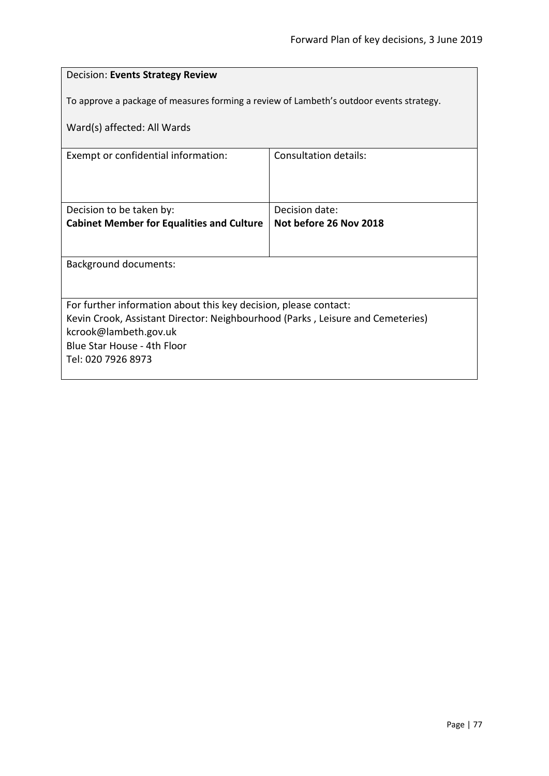| Decision: Events Strategy Review                                                        |                              |  |
|-----------------------------------------------------------------------------------------|------------------------------|--|
| To approve a package of measures forming a review of Lambeth's outdoor events strategy. |                              |  |
| Ward(s) affected: All Wards                                                             |                              |  |
|                                                                                         |                              |  |
| Exempt or confidential information:                                                     | <b>Consultation details:</b> |  |
|                                                                                         |                              |  |
|                                                                                         |                              |  |
| Decision to be taken by:                                                                | Decision date:               |  |
| <b>Cabinet Member for Equalities and Culture</b>                                        | Not before 26 Nov 2018       |  |
|                                                                                         |                              |  |
| <b>Background documents:</b>                                                            |                              |  |
|                                                                                         |                              |  |
| For further information about this key decision, please contact:                        |                              |  |
| Kevin Crook, Assistant Director: Neighbourhood (Parks, Leisure and Cemeteries)          |                              |  |
| kcrook@lambeth.gov.uk                                                                   |                              |  |
| Blue Star House - 4th Floor                                                             |                              |  |
| Tel: 020 7926 8973                                                                      |                              |  |
|                                                                                         |                              |  |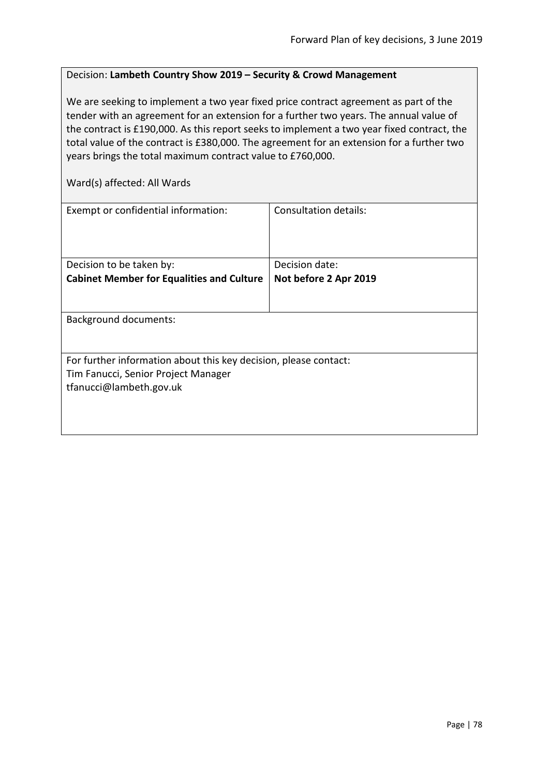## Decision: **Lambeth Country Show 2019 – Security & Crowd Management**

We are seeking to implement a two year fixed price contract agreement as part of the tender with an agreement for an extension for a further two years. The annual value of the contract is £190,000. As this report seeks to implement a two year fixed contract, the total value of the contract is £380,000. The agreement for an extension for a further two years brings the total maximum contract value to £760,000.

Ward(s) affected: All Wards

| Exempt or confidential information:                              | Consultation details: |  |
|------------------------------------------------------------------|-----------------------|--|
| Decision to be taken by:                                         | Decision date:        |  |
|                                                                  |                       |  |
| <b>Cabinet Member for Equalities and Culture</b>                 | Not before 2 Apr 2019 |  |
|                                                                  |                       |  |
| <b>Background documents:</b>                                     |                       |  |
|                                                                  |                       |  |
| For further information about this key decision, please contact: |                       |  |
| Tim Fanucci, Senior Project Manager                              |                       |  |
| tfanucci@lambeth.gov.uk                                          |                       |  |
|                                                                  |                       |  |
|                                                                  |                       |  |
|                                                                  |                       |  |
|                                                                  |                       |  |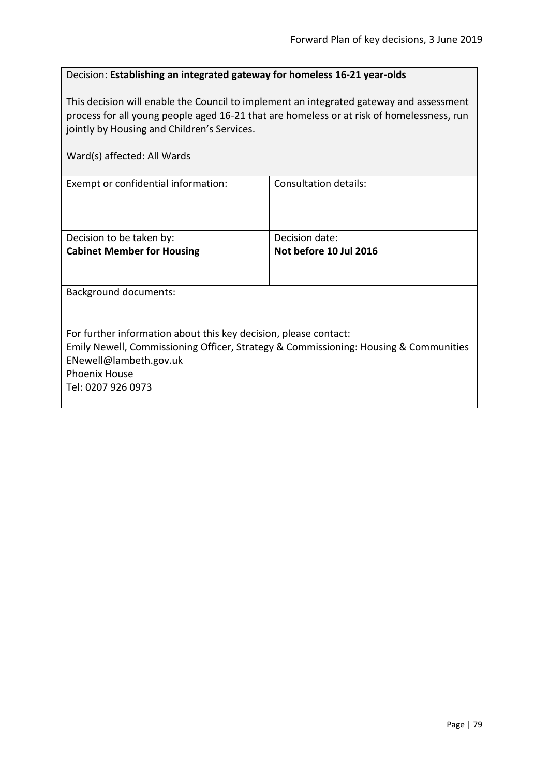## Decision: **Establishing an integrated gateway for homeless 16-21 year-olds**

This decision will enable the Council to implement an integrated gateway and assessment process for all young people aged 16-21 that are homeless or at risk of homelessness, run jointly by Housing and Children's Services.

| Ward(s) affected: All Wards                                                                                                                                                                                                      |                                          |
|----------------------------------------------------------------------------------------------------------------------------------------------------------------------------------------------------------------------------------|------------------------------------------|
| Exempt or confidential information:                                                                                                                                                                                              | <b>Consultation details:</b>             |
| Decision to be taken by:<br><b>Cabinet Member for Housing</b>                                                                                                                                                                    | Decision date:<br>Not before 10 Jul 2016 |
| Background documents:                                                                                                                                                                                                            |                                          |
| For further information about this key decision, please contact:<br>Emily Newell, Commissioning Officer, Strategy & Commissioning: Housing & Communities<br>ENewell@lambeth.gov.uk<br><b>Phoenix House</b><br>Tel: 0207 926 0973 |                                          |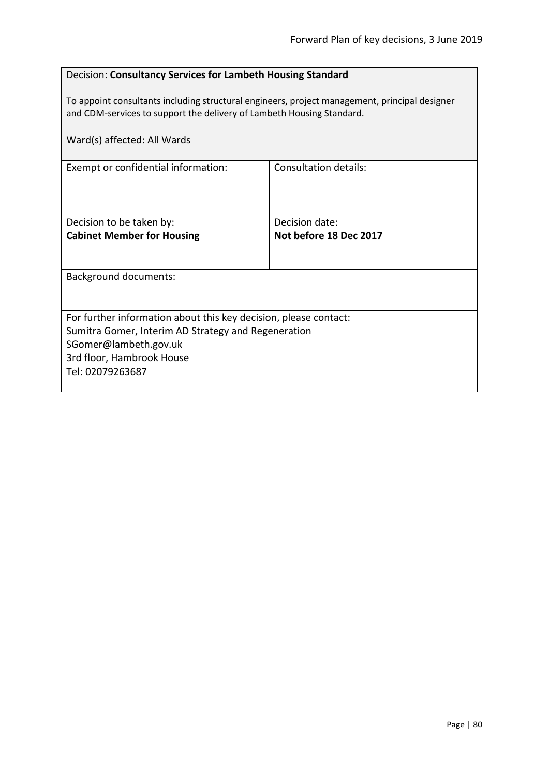## Decision: **Consultancy Services for Lambeth Housing Standard**

To appoint consultants including structural engineers, project management, principal designer and CDM-services to support the delivery of Lambeth Housing Standard.

| Ward(s) affected: All Wards                                                                                                                                                                       |                                          |  |
|---------------------------------------------------------------------------------------------------------------------------------------------------------------------------------------------------|------------------------------------------|--|
| Exempt or confidential information:                                                                                                                                                               | Consultation details:                    |  |
| Decision to be taken by:<br><b>Cabinet Member for Housing</b>                                                                                                                                     | Decision date:<br>Not before 18 Dec 2017 |  |
| <b>Background documents:</b>                                                                                                                                                                      |                                          |  |
| For further information about this key decision, please contact:<br>Sumitra Gomer, Interim AD Strategy and Regeneration<br>SGomer@lambeth.gov.uk<br>3rd floor, Hambrook House<br>Tel: 02079263687 |                                          |  |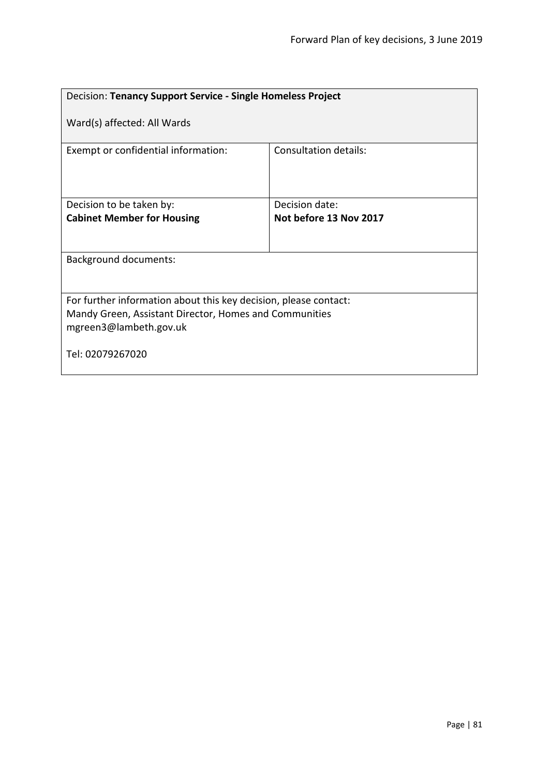| Decision: Tenancy Support Service - Single Homeless Project                                                                                          |                              |  |
|------------------------------------------------------------------------------------------------------------------------------------------------------|------------------------------|--|
| Ward(s) affected: All Wards                                                                                                                          |                              |  |
| Exempt or confidential information:                                                                                                                  | <b>Consultation details:</b> |  |
| Decision to be taken by:                                                                                                                             | Decision date:               |  |
| <b>Cabinet Member for Housing</b>                                                                                                                    | Not before 13 Nov 2017       |  |
|                                                                                                                                                      |                              |  |
| <b>Background documents:</b>                                                                                                                         |                              |  |
| For further information about this key decision, please contact:<br>Mandy Green, Assistant Director, Homes and Communities<br>mgreen3@lambeth.gov.uk |                              |  |
| Tel: 02079267020                                                                                                                                     |                              |  |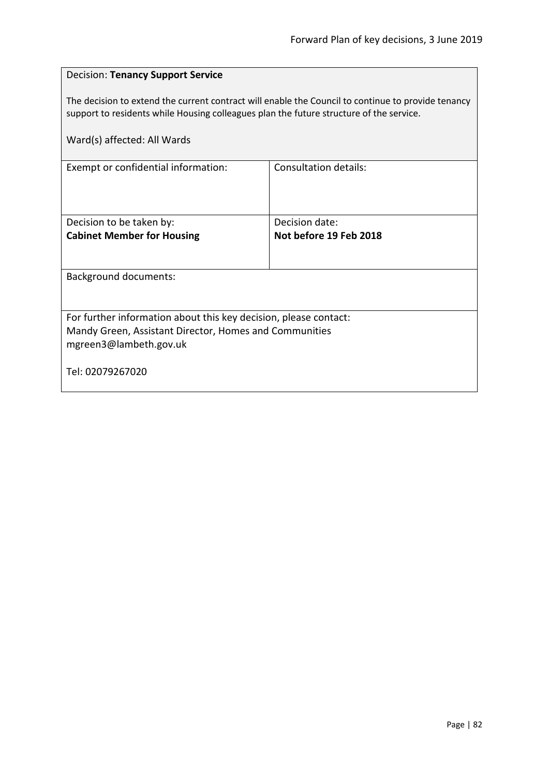| <b>Decision: Tenancy Support Service</b>                                                                                                                                                      |                        |  |
|-----------------------------------------------------------------------------------------------------------------------------------------------------------------------------------------------|------------------------|--|
| The decision to extend the current contract will enable the Council to continue to provide tenancy<br>support to residents while Housing colleagues plan the future structure of the service. |                        |  |
| Ward(s) affected: All Wards                                                                                                                                                                   |                        |  |
| Exempt or confidential information:                                                                                                                                                           | Consultation details:  |  |
|                                                                                                                                                                                               |                        |  |
| Decision to be taken by:                                                                                                                                                                      | Decision date:         |  |
| <b>Cabinet Member for Housing</b>                                                                                                                                                             | Not before 19 Feb 2018 |  |
| <b>Background documents:</b>                                                                                                                                                                  |                        |  |
|                                                                                                                                                                                               |                        |  |
| For further information about this key decision, please contact:                                                                                                                              |                        |  |
| Mandy Green, Assistant Director, Homes and Communities<br>mgreen3@lambeth.gov.uk                                                                                                              |                        |  |
| Tel: 02079267020                                                                                                                                                                              |                        |  |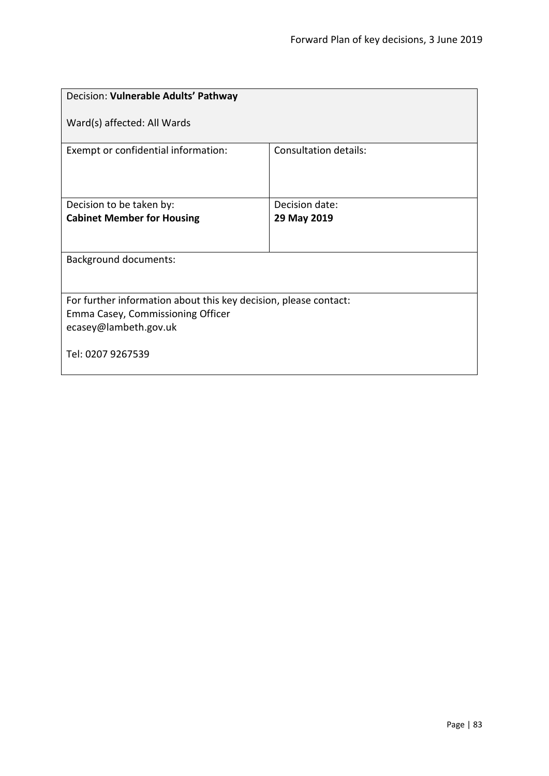| Decision: Vulnerable Adults' Pathway                                                                                           |                       |  |
|--------------------------------------------------------------------------------------------------------------------------------|-----------------------|--|
| Ward(s) affected: All Wards                                                                                                    |                       |  |
| Exempt or confidential information:                                                                                            | Consultation details: |  |
| Decision to be taken by:                                                                                                       | Decision date:        |  |
| <b>Cabinet Member for Housing</b>                                                                                              | 29 May 2019           |  |
| <b>Background documents:</b>                                                                                                   |                       |  |
| For further information about this key decision, please contact:<br>Emma Casey, Commissioning Officer<br>ecasey@lambeth.gov.uk |                       |  |
| Tel: 0207 9267539                                                                                                              |                       |  |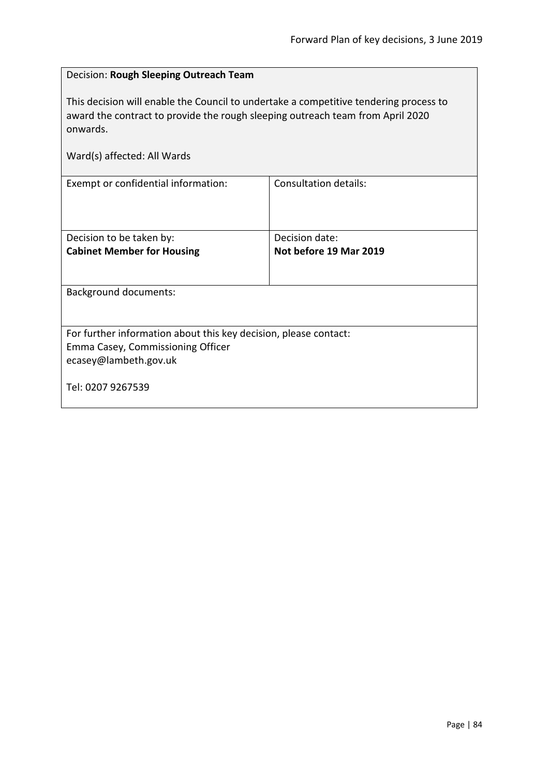| Decision: Rough Sleeping Outreach Team                                                                                                                                                                             |                              |  |
|--------------------------------------------------------------------------------------------------------------------------------------------------------------------------------------------------------------------|------------------------------|--|
| This decision will enable the Council to undertake a competitive tendering process to<br>award the contract to provide the rough sleeping outreach team from April 2020<br>onwards.<br>Ward(s) affected: All Wards |                              |  |
|                                                                                                                                                                                                                    |                              |  |
| Exempt or confidential information:                                                                                                                                                                                | <b>Consultation details:</b> |  |
|                                                                                                                                                                                                                    |                              |  |
|                                                                                                                                                                                                                    |                              |  |
| Decision to be taken by:                                                                                                                                                                                           | Decision date:               |  |
| <b>Cabinet Member for Housing</b>                                                                                                                                                                                  | Not before 19 Mar 2019       |  |
|                                                                                                                                                                                                                    |                              |  |
| <b>Background documents:</b>                                                                                                                                                                                       |                              |  |
|                                                                                                                                                                                                                    |                              |  |
|                                                                                                                                                                                                                    |                              |  |
| For further information about this key decision, please contact:                                                                                                                                                   |                              |  |
| Emma Casey, Commissioning Officer                                                                                                                                                                                  |                              |  |
| ecasey@lambeth.gov.uk                                                                                                                                                                                              |                              |  |
| Tel: 0207 9267539                                                                                                                                                                                                  |                              |  |
|                                                                                                                                                                                                                    |                              |  |